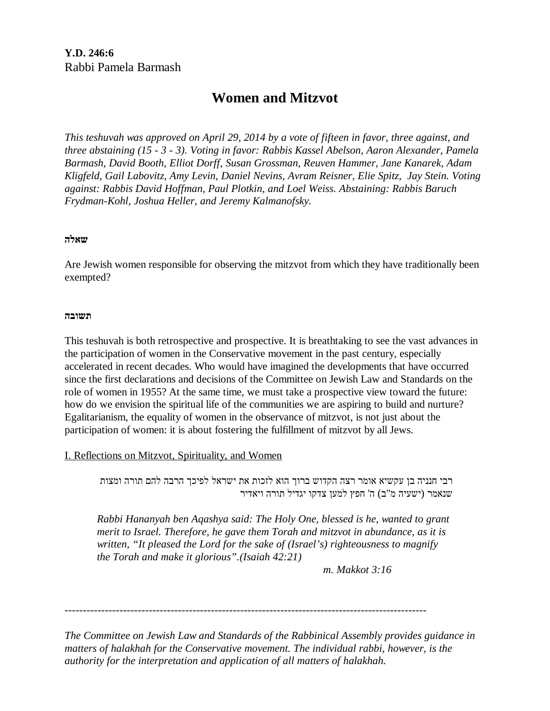# **Women and Mitzvot**

*This teshuvah was approved on April 29, 2014 by a vote of fifteen in favor, three against, and three abstaining (15 - 3 - 3). Voting in favor: Rabbis Kassel Abelson, Aaron Alexander, Pamela Barmash, David Booth, Elliot Dorff, Susan Grossman, Reuven Hammer, Jane Kanarek, Adam Kligfeld, Gail Labovitz, Amy Levin, Daniel Nevins, Avram Reisner, Elie Spitz, Jay Stein. Voting against: Rabbis David Hoffman, Paul Plotkin, and Loel Weiss. Abstaining: Rabbis Baruch Frydman-Kohl, Joshua Heller, and Jeremy Kalmanofsky.* 

# **שאלה**

Are Jewish women responsible for observing the mitzvot from which they have traditionally been exempted?

# **תשובה**

This teshuvah is both retrospective and prospective. It is breathtaking to see the vast advances in the participation of women in the Conservative movement in the past century, especially accelerated in recent decades. Who would have imagined the developments that have occurred since the first declarations and decisions of the Committee on Jewish Law and Standards on the role of women in 1955? At the same time, we must take a prospective view toward the future: how do we envision the spiritual life of the communities we are aspiring to build and nurture? Egalitarianism, the equality of women in the observance of mitzvot, is not just about the participation of women: it is about fostering the fulfillment of mitzvot by all Jews.

# I. Reflections on Mitzvot, Spirituality, and Women

רבי חנניה בן עקשיא אומר רצה הקדוש ברוך הוא לזכות את ישראל לפיכך הרבה להם תורה ומצות שנאמר (ישעיה מ"ב) ה' חפץ למען צדקו יגדיל תורה ויאדיר

*Rabbi Hananyah ben Aqashya said: The Holy One, blessed is he, wanted to grant merit to Israel. Therefore, he gave them Torah and mitzvot in abundance, as it is written, "It pleased the Lord for the sake of (Israel's) righteousness to magnify the Torah and make it glorious".(Isaiah 42:21)* 

 *m. Makkot 3:16* 

---------------------------------------------------------------------------------------------------

*The Committee on Jewish Law and Standards of the Rabbinical Assembly provides guidance in matters of halakhah for the Conservative movement. The individual rabbi, however, is the authority for the interpretation and application of all matters of halakhah.*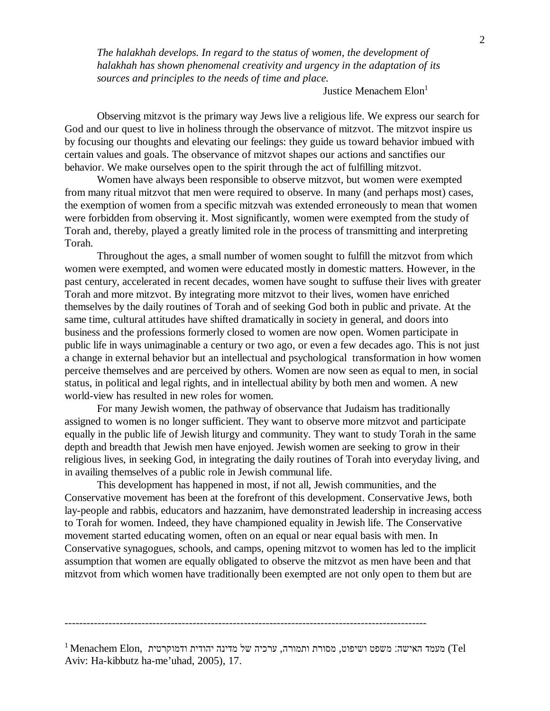*The halakhah develops. In regard to the status of women, the development of halakhah has shown phenomenal creativity and urgency in the adaptation of its sources and principles to the needs of time and place.*

## Justice Menachem Elon<sup>1</sup>

 Observing mitzvot is the primary way Jews live a religious life. We express our search for God and our quest to live in holiness through the observance of mitzvot. The mitzvot inspire us by focusing our thoughts and elevating our feelings: they guide us toward behavior imbued with certain values and goals. The observance of mitzvot shapes our actions and sanctifies our behavior. We make ourselves open to the spirit through the act of fulfilling mitzvot.

 Women have always been responsible to observe mitzvot, but women were exempted from many ritual mitzvot that men were required to observe. In many (and perhaps most) cases, the exemption of women from a specific mitzvah was extended erroneously to mean that women were forbidden from observing it. Most significantly, women were exempted from the study of Torah and, thereby, played a greatly limited role in the process of transmitting and interpreting Torah.

 Throughout the ages, a small number of women sought to fulfill the mitzvot from which women were exempted, and women were educated mostly in domestic matters. However, in the past century, accelerated in recent decades, women have sought to suffuse their lives with greater Torah and more mitzvot. By integrating more mitzvot to their lives, women have enriched themselves by the daily routines of Torah and of seeking God both in public and private. At the same time, cultural attitudes have shifted dramatically in society in general, and doors into business and the professions formerly closed to women are now open. Women participate in public life in ways unimaginable a century or two ago, or even a few decades ago. This is not just a change in external behavior but an intellectual and psychological transformation in how women perceive themselves and are perceived by others. Women are now seen as equal to men, in social status, in political and legal rights, and in intellectual ability by both men and women. A new world-view has resulted in new roles for women.

 For many Jewish women, the pathway of observance that Judaism has traditionally assigned to women is no longer sufficient. They want to observe more mitzvot and participate equally in the public life of Jewish liturgy and community. They want to study Torah in the same depth and breadth that Jewish men have enjoyed. Jewish women are seeking to grow in their religious lives, in seeking God, in integrating the daily routines of Torah into everyday living, and in availing themselves of a public role in Jewish communal life.

 This development has happened in most, if not all, Jewish communities, and the Conservative movement has been at the forefront of this development. Conservative Jews, both lay-people and rabbis, educators and hazzanim, have demonstrated leadership in increasing access to Torah for women. Indeed, they have championed equality in Jewish life. The Conservative movement started educating women, often on an equal or near equal basis with men. In Conservative synagogues, schools, and camps, opening mitzvot to women has led to the implicit assumption that women are equally obligated to observe the mitzvot as men have been and that mitzvot from which women have traditionally been exempted are not only open to them but are

<sup>---------------------------------------------------------------------------------------------------</sup>

 $^1$ Menachem Elon, מעמד האישה: משפט ושיפוט, מסורת ותמורה, ערכיה של מדינה יהודית ודמוקרטית  $\rm{Tel}$ Aviv: Ha-kibbutz ha-me'uhad, 2005), 17.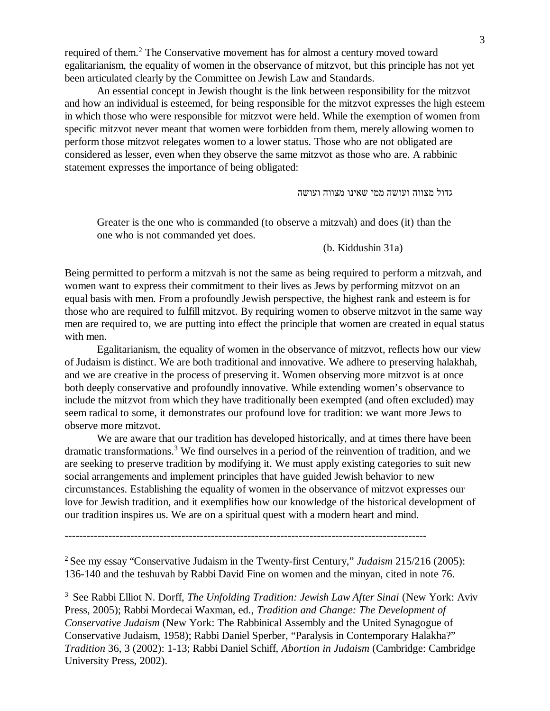required of them.<sup>2</sup> The Conservative movement has for almost a century moved toward egalitarianism, the equality of women in the observance of mitzvot, but this principle has not yet been articulated clearly by the Committee on Jewish Law and Standards.

 An essential concept in Jewish thought is the link between responsibility for the mitzvot and how an individual is esteemed, for being responsible for the mitzvot expresses the high esteem in which those who were responsible for mitzvot were held. While the exemption of women from specific mitzvot never meant that women were forbidden from them, merely allowing women to perform those mitzvot relegates women to a lower status. Those who are not obligated are considered as lesser, even when they observe the same mitzvot as those who are. A rabbinic statement expresses the importance of being obligated:

גדול מצווה ועושה ממי שאינו מצווה ועושה

Greater is the one who is commanded (to observe a mitzvah) and does (it) than the one who is not commanded yet does.

(b. Kiddushin 31a)

Being permitted to perform a mitzvah is not the same as being required to perform a mitzvah, and women want to express their commitment to their lives as Jews by performing mitzvot on an equal basis with men. From a profoundly Jewish perspective, the highest rank and esteem is for those who are required to fulfill mitzvot. By requiring women to observe mitzvot in the same way men are required to, we are putting into effect the principle that women are created in equal status with men.

 Egalitarianism, the equality of women in the observance of mitzvot, reflects how our view of Judaism is distinct. We are both traditional and innovative. We adhere to preserving halakhah, and we are creative in the process of preserving it. Women observing more mitzvot is at once both deeply conservative and profoundly innovative. While extending women's observance to include the mitzvot from which they have traditionally been exempted (and often excluded) may seem radical to some, it demonstrates our profound love for tradition: we want more Jews to observe more mitzvot.

 We are aware that our tradition has developed historically, and at times there have been dramatic transformations.<sup>3</sup> We find ourselves in a period of the reinvention of tradition, and we are seeking to preserve tradition by modifying it. We must apply existing categories to suit new social arrangements and implement principles that have guided Jewish behavior to new circumstances. Establishing the equality of women in the observance of mitzvot expresses our love for Jewish tradition, and it exemplifies how our knowledge of the historical development of our tradition inspires us. We are on a spiritual quest with a modern heart and mind.

---------------------------------------------------------------------------------------------------

<sup>2</sup> See my essay "Conservative Judaism in the Twenty-first Century," *Judaism* 215/216 (2005): 136-140 and the teshuvah by Rabbi David Fine on women and the minyan, cited in note 76.

3 See Rabbi Elliot N. Dorff, *The Unfolding Tradition: Jewish Law After Sinai* (New York: Aviv Press, 2005); Rabbi Mordecai Waxman, ed., *Tradition and Change: The Development of Conservative Judaism* (New York: The Rabbinical Assembly and the United Synagogue of Conservative Judaism, 1958); Rabbi Daniel Sperber, "Paralysis in Contemporary Halakha?" *Tradition* 36, 3 (2002): 1-13; Rabbi Daniel Schiff, *Abortion in Judaism* (Cambridge: Cambridge University Press, 2002).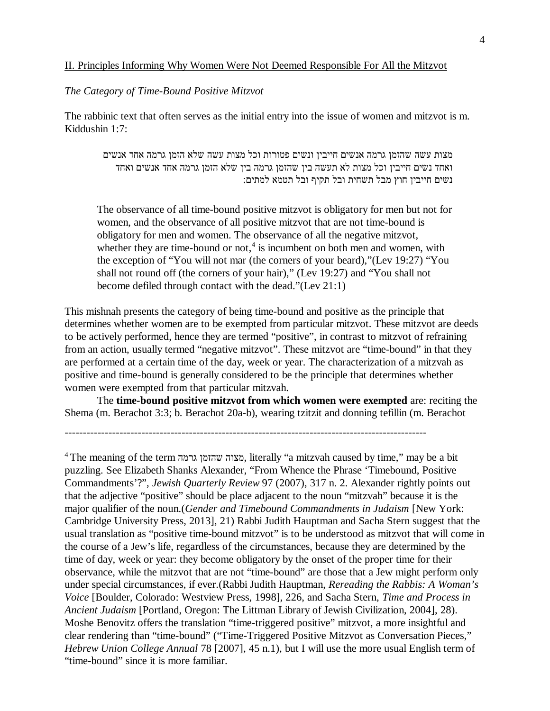# II. Principles Informing Why Women Were Not Deemed Responsible For All the Mitzvot

## *The Category of Time-Bound Positive Mitzvot*

The rabbinic text that often serves as the initial entry into the issue of women and mitzvot is m. Kiddushin 1:7:

מצות עשה שהזמן גרמה אנשים חייבין ונשים פטורות וכל מצות עשה שלא הזמן גרמה אחד אנשים ואחד נשים חייבין וכל מצות לא תעשה בין שהזמן גרמה בין שלא הזמן גרמה אחד אנשים ואחד נשים חייבין חוץ מבל תשחית ובל תקיף ובל תטמא למתים:

The observance of all time-bound positive mitzvot is obligatory for men but not for women, and the observance of all positive mitzvot that are not time-bound is obligatory for men and women. The observance of all the negative mitzvot, whether they are time-bound or not, $4$  is incumbent on both men and women, with the exception of "You will not mar (the corners of your beard),"(Lev 19:27) "You shall not round off (the corners of your hair)," (Lev 19:27) and "You shall not become defiled through contact with the dead."(Lev 21:1)

This mishnah presents the category of being time-bound and positive as the principle that determines whether women are to be exempted from particular mitzvot. These mitzvot are deeds to be actively performed, hence they are termed "positive", in contrast to mitzvot of refraining from an action, usually termed "negative mitzvot". These mitzvot are "time-bound" in that they are performed at a certain time of the day, week or year. The characterization of a mitzvah as positive and time-bound is generally considered to be the principle that determines whether women were exempted from that particular mitzvah.

 The **time-bound positive mitzvot from which women were exempted** are: reciting the Shema (m. Berachot 3:3; b. Berachot 20a-b), wearing tzitzit and donning tefillin (m. Berachot

<sup>---------------------------------------------------------------------------------------------------</sup>

<sup>4</sup> The meaning of the term גרמה שהזמן מצוה, literally "a mitzvah caused by time," may be a bit puzzling. See Elizabeth Shanks Alexander, "From Whence the Phrase 'Timebound, Positive Commandments'?", *Jewish Quarterly Review* 97 (2007), 317 n. 2. Alexander rightly points out that the adjective "positive" should be place adjacent to the noun "mitzvah" because it is the major qualifier of the noun.(*Gender and Timebound Commandments in Judaism* [New York: Cambridge University Press, 2013], 21) Rabbi Judith Hauptman and Sacha Stern suggest that the usual translation as "positive time-bound mitzvot" is to be understood as mitzvot that will come in the course of a Jew's life, regardless of the circumstances, because they are determined by the time of day, week or year: they become obligatory by the onset of the proper time for their observance, while the mitzvot that are not "time-bound" are those that a Jew might perform only under special circumstances, if ever.(Rabbi Judith Hauptman, *Rereading the Rabbis: A Woman's Voice* [Boulder, Colorado: Westview Press, 1998], 226, and Sacha Stern, *Time and Process in Ancient Judaism* [Portland, Oregon: The Littman Library of Jewish Civilization, 2004], 28). Moshe Benovitz offers the translation "time-triggered positive" mitzvot, a more insightful and clear rendering than "time-bound" ("Time-Triggered Positive Mitzvot as Conversation Pieces," *Hebrew Union College Annual* 78 [2007], 45 n.1), but I will use the more usual English term of "time-bound" since it is more familiar.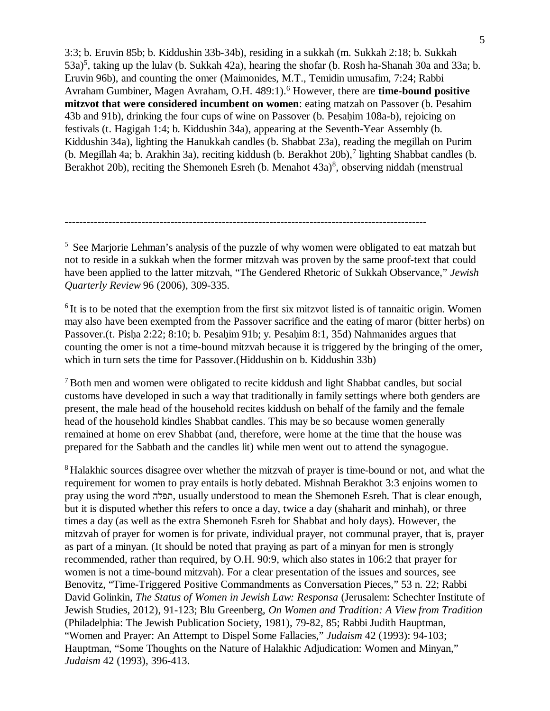3:3; b. Eruvin 85b; b. Kiddushin 33b-34b), residing in a sukkah (m. Sukkah 2:18; b. Sukkah 53a)<sup>5</sup>, taking up the lulav (b. Sukkah 42a), hearing the shofar (b. Rosh ha-Shanah 30a and 33a; b. Eruvin 96b), and counting the omer (Maimonides, M.T., Temidin umusafim, 7:24; Rabbi Avraham Gumbiner, Magen Avraham, O.H. 489:1).<sup>6</sup> However, there are **time-bound positive mitzvot that were considered incumbent on women**: eating matzah on Passover (b. Pesahim 43b and 91b), drinking the four cups of wine on Passover (b. Pesahim 108a-b), rejoicing on festivals (t. Hagigah 1:4; b. Kiddushin 34a), appearing at the Seventh-Year Assembly (b. Kiddushin 34a), lighting the Hanukkah candles (b. Shabbat 23a), reading the megillah on Purim (b. Megillah 4a; b. Arakhin 3a), reciting kiddush (b. Berakhot 20b),<sup>7</sup> lighting Shabbat candles (b. Berakhot 20b), reciting the Shemoneh Esreh (b. Menahot 43a)<sup>8</sup>, observing niddah (menstrual

<sup>5</sup> See Marjorie Lehman's analysis of the puzzle of why women were obligated to eat matzah but not to reside in a sukkah when the former mitzvah was proven by the same proof-text that could have been applied to the latter mitzvah, "The Gendered Rhetoric of Sukkah Observance," *Jewish Quarterly Review* 96 (2006), 309-335.

---------------------------------------------------------------------------------------------------

<sup>6</sup> It is to be noted that the exemption from the first six mitzvot listed is of tannaitic origin. Women may also have been exempted from the Passover sacrifice and the eating of maror (bitter herbs) on Passover.(t. Pisha 2:22; 8:10; b. Pesahim 91b; y. Pesahim 8:1, 35d) Nahmanides argues that counting the omer is not a time-bound mitzvah because it is triggered by the bringing of the omer, which in turn sets the time for Passover.(Hiddushin on b. Kiddushin 33b)

<sup>7</sup> Both men and women were obligated to recite kiddush and light Shabbat candles, but social customs have developed in such a way that traditionally in family settings where both genders are present, the male head of the household recites kiddush on behalf of the family and the female head of the household kindles Shabbat candles. This may be so because women generally remained at home on erev Shabbat (and, therefore, were home at the time that the house was prepared for the Sabbath and the candles lit) while men went out to attend the synagogue.

<sup>8</sup> Halakhic sources disagree over whether the mitzvah of prayer is time-bound or not, and what the requirement for women to pray entails is hotly debated. Mishnah Berakhot 3:3 enjoins women to pray using the word תפלה, usually understood to mean the Shemoneh Esreh. That is clear enough, but it is disputed whether this refers to once a day, twice a day (shaharit and minhah), or three times a day (as well as the extra Shemoneh Esreh for Shabbat and holy days). However, the mitzvah of prayer for women is for private, individual prayer, not communal prayer, that is, prayer as part of a minyan. (It should be noted that praying as part of a minyan for men is strongly recommended, rather than required, by O.H. 90:9, which also states in 106:2 that prayer for women is not a time-bound mitzvah). For a clear presentation of the issues and sources, see Benovitz, "Time-Triggered Positive Commandments as Conversation Pieces," 53 n. 22; Rabbi David Golinkin, *The Status of Women in Jewish Law: Responsa* (Jerusalem: Schechter Institute of Jewish Studies, 2012), 91-123; Blu Greenberg, *On Women and Tradition: A View from Tradition* (Philadelphia: The Jewish Publication Society, 1981), 79-82, 85; Rabbi Judith Hauptman, "Women and Prayer: An Attempt to Dispel Some Fallacies," *Judaism* 42 (1993): 94-103; Hauptman, "Some Thoughts on the Nature of Halakhic Adjudication: Women and Minyan," *Judaism* 42 (1993), 396-413.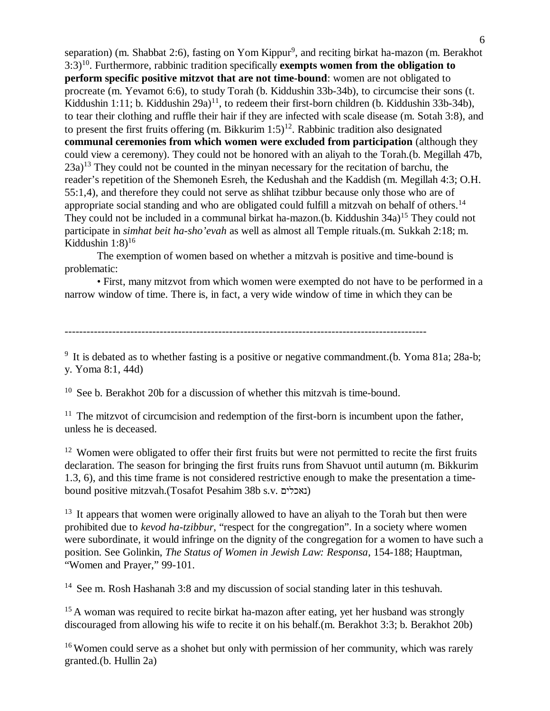separation) (m. Shabbat 2:6), fasting on Yom Kippur<sup>9</sup>, and reciting birkat ha-mazon (m. Berakhot 3:3)<sup>10</sup>. Furthermore, rabbinic tradition specifically **exempts women from the obligation to perform specific positive mitzvot that are not time-bound**: women are not obligated to procreate (m. Yevamot 6:6), to study Torah (b. Kiddushin 33b-34b), to circumcise their sons (t. Kiddushin 1:11; b. Kiddushin 29a)<sup>11</sup>, to redeem their first-born children (b. Kiddushin 33b-34b), to tear their clothing and ruffle their hair if they are infected with scale disease (m. Sotah 3:8), and to present the first fruits offering (m. Bikkurim  $1:5$ )<sup>12</sup>. Rabbinic tradition also designated **communal ceremonies from which women were excluded from participation** (although they could view a ceremony). They could not be honored with an aliyah to the Torah.(b. Megillah 47b,  $23a$ <sup>13</sup> They could not be counted in the minyan necessary for the recitation of barchu, the reader's repetition of the Shemoneh Esreh, the Kedushah and the Kaddish (m. Megillah 4:3; O.H. 55:1,4), and therefore they could not serve as shlihat tzibbur because only those who are of appropriate social standing and who are obligated could fulfill a mitzvah on behalf of others.<sup>14</sup> They could not be included in a communal birkat ha-mazon.(b. Kiddushin  $34a$ )<sup>15</sup> They could not participate in *simhat beit ha-sho'evah* as well as almost all Temple rituals.(m. Sukkah 2:18; m. Kiddushin  $1:8$ <sup>16</sup>

 The exemption of women based on whether a mitzvah is positive and time-bound is problematic:

 • First, many mitzvot from which women were exempted do not have to be performed in a narrow window of time. There is, in fact, a very wide window of time in which they can be

---------------------------------------------------------------------------------------------------

<sup>9</sup> It is debated as to whether fasting is a positive or negative commandment. (b. Yoma 81a; 28a-b; y. Yoma 8:1, 44d)

<sup>10</sup> See b. Berakhot 20b for a discussion of whether this mitzvah is time-bound.

 $11$  The mitzvot of circumcision and redemption of the first-born is incumbent upon the father, unless he is deceased.

<sup>12</sup> Women were obligated to offer their first fruits but were not permitted to recite the first fruits declaration. The season for bringing the first fruits runs from Shavuot until autumn (m. Bikkurim 1.3, 6), and this time frame is not considered restrictive enough to make the presentation a timebound positive mitzvah.(Tosafot Pesahim 38b s.v. נאכלים (

<sup>13</sup> It appears that women were originally allowed to have an aliyah to the Torah but then were prohibited due to *kevod ha-tzibbur*, "respect for the congregation". In a society where women were subordinate, it would infringe on the dignity of the congregation for a women to have such a position. See Golinkin, *The Status of Women in Jewish Law: Responsa*, 154-188; Hauptman, "Women and Prayer," 99-101.

<sup>14</sup> See m. Rosh Hashanah 3:8 and my discussion of social standing later in this teshuvah.

<sup>15</sup> A woman was required to recite birkat ha-mazon after eating, yet her husband was strongly discouraged from allowing his wife to recite it on his behalf.(m. Berakhot 3:3; b. Berakhot 20b)

<sup>16</sup> Women could serve as a shohet but only with permission of her community, which was rarely granted.(b. Hullin 2a)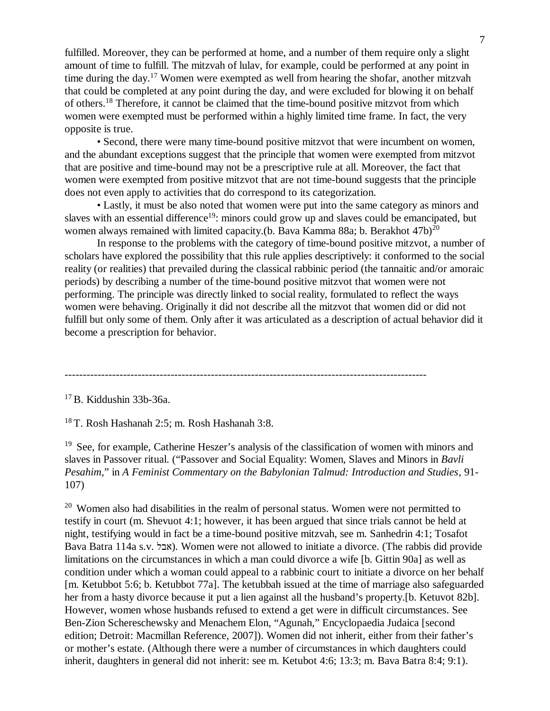fulfilled. Moreover, they can be performed at home, and a number of them require only a slight amount of time to fulfill. The mitzvah of lulav, for example, could be performed at any point in time during the day.<sup>17</sup> Women were exempted as well from hearing the shofar, another mitzvah that could be completed at any point during the day, and were excluded for blowing it on behalf of others.<sup>18</sup> Therefore, it cannot be claimed that the time-bound positive mitzvot from which women were exempted must be performed within a highly limited time frame. In fact, the very opposite is true.

 • Second, there were many time-bound positive mitzvot that were incumbent on women, and the abundant exceptions suggest that the principle that women were exempted from mitzvot that are positive and time-bound may not be a prescriptive rule at all. Moreover, the fact that women were exempted from positive mitzvot that are not time-bound suggests that the principle does not even apply to activities that do correspond to its categorization.

 • Lastly, it must be also noted that women were put into the same category as minors and slaves with an essential difference<sup>19</sup>: minors could grow up and slaves could be emancipated, but women always remained with limited capacity.(b. Bava Kamma 88a; b. Berakhot  $47b)^{20}$ 

 In response to the problems with the category of time-bound positive mitzvot, a number of scholars have explored the possibility that this rule applies descriptively: it conformed to the social reality (or realities) that prevailed during the classical rabbinic period (the tannaitic and/or amoraic periods) by describing a number of the time-bound positive mitzvot that women were not performing. The principle was directly linked to social reality, formulated to reflect the ways women were behaving. Originally it did not describe all the mitzvot that women did or did not fulfill but only some of them. Only after it was articulated as a description of actual behavior did it become a prescription for behavior.

---------------------------------------------------------------------------------------------------

<sup>17</sup> B. Kiddushin 33b-36a.

<sup>18</sup> T. Rosh Hashanah 2:5; m. Rosh Hashanah 3:8.

<sup>19</sup> See, for example, Catherine Heszer's analysis of the classification of women with minors and slaves in Passover ritual. ("Passover and Social Equality: Women, Slaves and Minors in *Bavli Pesahim*," in *A Feminist Commentary on the Babylonian Talmud: Introduction and Studies*, 91- 107)

 $20$  Women also had disabilities in the realm of personal status. Women were not permitted to testify in court (m. Shevuot 4:1; however, it has been argued that since trials cannot be held at night, testifying would in fact be a time-bound positive mitzvah, see m. Sanhedrin 4:1; Tosafot Bava Batra 114a s.v. אבל). Women were not allowed to initiate a divorce. (The rabbis did provide limitations on the circumstances in which a man could divorce a wife [b. Gittin 90a] as well as condition under which a woman could appeal to a rabbinic court to initiate a divorce on her behalf [m. Ketubbot 5:6; b. Ketubbot 77a]. The ketubbah issued at the time of marriage also safeguarded her from a hasty divorce because it put a lien against all the husband's property.[b. Ketuvot 82b]. However, women whose husbands refused to extend a get were in difficult circumstances. See Ben-Zion Schereschewsky and Menachem Elon, "Agunah," Encyclopaedia Judaica [second edition; Detroit: Macmillan Reference, 2007]). Women did not inherit, either from their father's or mother's estate. (Although there were a number of circumstances in which daughters could inherit, daughters in general did not inherit: see m. Ketubot 4:6; 13:3; m. Bava Batra 8:4; 9:1).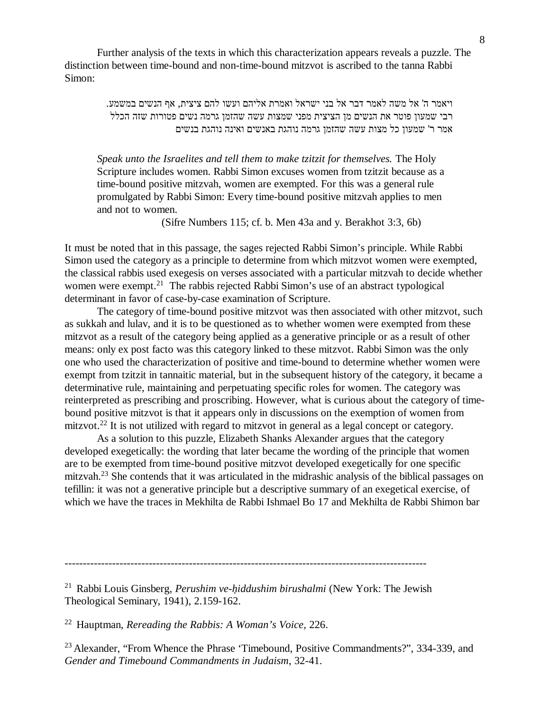Further analysis of the texts in which this characterization appears reveals a puzzle. The distinction between time-bound and non-time-bound mitzvot is ascribed to the tanna Rabbi Simon:

> ויאמר ה' אל משה לאמר דבר אל בני ישראל ואמרת אליהם ועשו להם ציצית, אף הנשים במשמע. רבי שמעון פוטר את הנשים מן הציצית מפני שמצות עשה שהזמן גרמה נשים פטורות שזה הכלל אמר ר' שמעון כל מצות עשה שהזמן גרמה נוהגת באנשים ואינה נוהגת בנשים

*Speak unto the Israelites and tell them to make tzitzit for themselves.* The Holy Scripture includes women. Rabbi Simon excuses women from tzitzit because as a time-bound positive mitzvah, women are exempted. For this was a general rule promulgated by Rabbi Simon: Every time-bound positive mitzvah applies to men and not to women.

(Sifre Numbers 115; cf. b. Men 43a and y. Berakhot 3:3, 6b)

It must be noted that in this passage, the sages rejected Rabbi Simon's principle. While Rabbi Simon used the category as a principle to determine from which mitzvot women were exempted, the classical rabbis used exegesis on verses associated with a particular mitzvah to decide whether women were exempt.<sup>21</sup> The rabbis rejected Rabbi Simon's use of an abstract typological determinant in favor of case-by-case examination of Scripture.

 The category of time-bound positive mitzvot was then associated with other mitzvot, such as sukkah and lulav, and it is to be questioned as to whether women were exempted from these mitzvot as a result of the category being applied as a generative principle or as a result of other means: only ex post facto was this category linked to these mitzvot. Rabbi Simon was the only one who used the characterization of positive and time-bound to determine whether women were exempt from tzitzit in tannaitic material, but in the subsequent history of the category, it became a determinative rule, maintaining and perpetuating specific roles for women. The category was reinterpreted as prescribing and proscribing. However, what is curious about the category of timebound positive mitzvot is that it appears only in discussions on the exemption of women from mitzvot.<sup>22</sup> It is not utilized with regard to mitzvot in general as a legal concept or category.

 As a solution to this puzzle, Elizabeth Shanks Alexander argues that the category developed exegetically: the wording that later became the wording of the principle that women are to be exempted from time-bound positive mitzvot developed exegetically for one specific mitzvah.<sup>23</sup> She contends that it was articulated in the midrashic analysis of the biblical passages on tefillin: it was not a generative principle but a descriptive summary of an exegetical exercise, of which we have the traces in Mekhilta de Rabbi Ishmael Bo 17 and Mekhilta de Rabbi Shimon bar

<sup>---------------------------------------------------------------------------------------------------</sup>

<sup>21</sup> Rabbi Louis Ginsberg, *Perushim ve-h. iddushim birushalmi* (New York: The Jewish Theological Seminary, 1941), 2.159-162.

<sup>22</sup> Hauptman, *Rereading the Rabbis: A Woman's Voice*, 226.

<sup>&</sup>lt;sup>23</sup> Alexander, "From Whence the Phrase 'Timebound, Positive Commandments?", 334-339, and *Gender and Timebound Commandments in Judaism*, 32-41.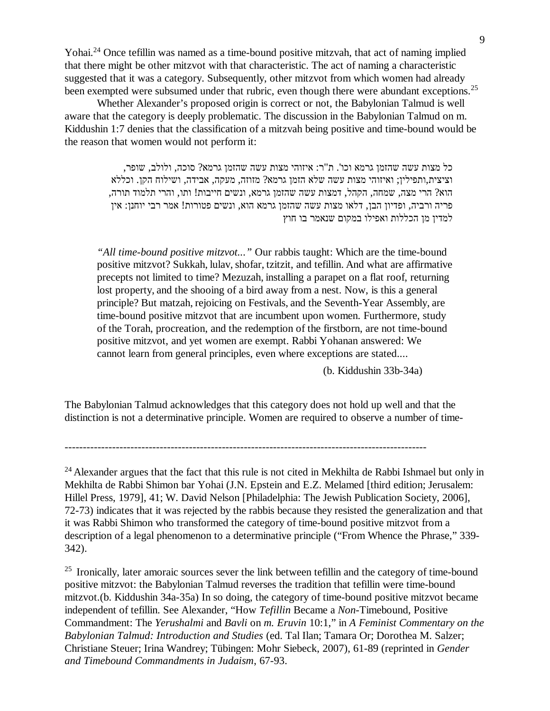Yohai.<sup>24</sup> Once tefillin was named as a time-bound positive mitzvah, that act of naming implied that there might be other mitzvot with that characteristic. The act of naming a characteristic suggested that it was a category. Subsequently, other mitzvot from which women had already been exempted were subsumed under that rubric, even though there were abundant exceptions.<sup>25</sup>

 Whether Alexander's proposed origin is correct or not, the Babylonian Talmud is well aware that the category is deeply problematic. The discussion in the Babylonian Talmud on m. Kiddushin 1:7 denies that the classification of a mitzvah being positive and time-bound would be the reason that women would not perform it:

> כל מצות עשה שהזמן גרמא וכו'. ת"ר: איזוהי מצות עשה שהזמן גרמא? סוכה, ולולב, שופר, וציצית,ותפילין; ואיזוהי מצות עשה שלא הזמן גרמא? מזוזה, מעקה, אבידה, ושילוח הקן. וכללא הוא? הרי מצה, שמחה, הקהל, דמצות עשה שהזמן גרמא, ונשים חייבות! ותו, והרי תלמוד תורה, פריה ורביה, ופדיון הבן, דלאו מצות עשה שהזמן גרמא הוא, ונשים פטורות! אמר רבי יוחנן: אין למדין מן הכללות ואפילו במקום שנאמר בו חוץ

*"All time-bound positive mitzvot..."* Our rabbis taught: Which are the time-bound positive mitzvot? Sukkah, lulav,shofar, tzitzit, and tefillin. And what are affirmative precepts not limited to time? Mezuzah, installing a parapet on a flat roof, returning lost property, and the shooing of a bird away from a nest. Now, is this a general principle? But matzah, rejoicing on Festivals, and the Seventh-Year Assembly, are time-bound positive mitzvot that are incumbent upon women. Furthermore, study of the Torah, procreation, and the redemption of the firstborn, are not time-bound positive mitzvot, and yet women are exempt. Rabbi Yohanan answered: We cannot learn from general principles, even where exceptions are stated....

(b. Kiddushin 33b-34a)

The Babylonian Talmud acknowledges that this category does not hold up well and that the distinction is not a determinative principle. Women are required to observe a number of time-

 $24$  Alexander argues that the fact that this rule is not cited in Mekhilta de Rabbi Ishmael but only in Mekhilta de Rabbi Shimon bar Yohai (J.N. Epstein and E.Z. Melamed [third edition; Jerusalem: Hillel Press, 1979], 41; W. David Nelson [Philadelphia: The Jewish Publication Society, 2006], 72-73) indicates that it was rejected by the rabbis because they resisted the generalization and that it was Rabbi Shimon who transformed the category of time-bound positive mitzvot from a description of a legal phenomenon to a determinative principle ("From Whence the Phrase," 339- 342).

<sup>25</sup> Ironically, later amoraic sources sever the link between tefillin and the category of time-bound positive mitzvot: the Babylonian Talmud reverses the tradition that tefillin were time-bound mitzvot.(b. Kiddushin 34a-35a) In so doing, the category of time-bound positive mitzvot became independent of tefillin. See Alexander, "How *Tefillin* Became a *Non-*Timebound, Positive Commandment: The *Yerushalmi* and *Bavli* on *m. Eruvin* 10:1," in *A Feminist Commentary on the Babylonian Talmud: Introduction and Studies* (ed. Tal Ilan; Tamara Or; Dorothea M. Salzer; Christiane Steuer; Irina Wandrey; Tübingen: Mohr Siebeck, 2007), 61-89 (reprinted in *Gender and Timebound Commandments in Judaism*, 67-93.

<sup>---------------------------------------------------------------------------------------------------</sup>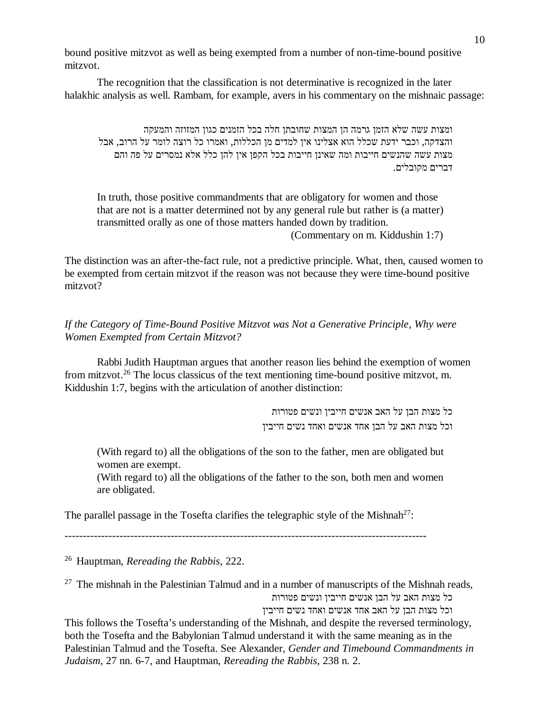bound positive mitzvot as well as being exempted from a number of non-time-bound positive mitzvot.

 The recognition that the classification is not determinative is recognized in the later halakhic analysis as well. Rambam, for example, avers in his commentary on the mishnaic passage:

ומצות עשה שלא הזמן גרמה הן המצות שחובתן חלה בכל הזמנים כגון המזוזה והמעקה והצדקה, וכבר ידעת שכלל הוא אצלינו אין למדים מן הכללות, ואמרו כל רוצה לומר על הרוב, אבל מצות עשה שהנשים חייבות ומה שאינן חייבות בכל הקפן אין להן כלל אלא נמסרים על פה והם דברים מקובלים.

In truth, those positive commandments that are obligatory for women and those that are not is a matter determined not by any general rule but rather is (a matter) transmitted orally as one of those matters handed down by tradition. (Commentary on m. Kiddushin 1:7)

The distinction was an after-the-fact rule, not a predictive principle. What, then, caused women to be exempted from certain mitzvot if the reason was not because they were time-bound positive mitzvot?

*If the Category of Time-Bound Positive Mitzvot was Not a Generative Principle, Why were Women Exempted from Certain Mitzvot?*

 Rabbi Judith Hauptman argues that another reason lies behind the exemption of women from mitzvot.<sup>26</sup> The locus classicus of the text mentioning time-bound positive mitzvot, m. Kiddushin 1:7, begins with the articulation of another distinction:

> כל מצות הבן על האב אנשים חייבין ונשים פטורות וכל מצות האב על הבן אחד אנשים ואחד נשים חייבין

(With regard to) all the obligations of the son to the father, men are obligated but women are exempt.

(With regard to) all the obligations of the father to the son, both men and women are obligated.

The parallel passage in the Tosefta clarifies the telegraphic style of the Mishnah<sup>27</sup>:

---------------------------------------------------------------------------------------------------

<sup>26</sup> Hauptman, *Rereading the Rabbis*, 222.

 $27$  The mishnah in the Palestinian Talmud and in a number of manuscripts of the Mishnah reads, כל מצות האב על הבן אנשים חייבין ונשים פטורות

וכל מצות הבן על האב אחד אנשים ואחד נשים חייבין

This follows the Tosefta's understanding of the Mishnah, and despite the reversed terminology, both the Tosefta and the Babylonian Talmud understand it with the same meaning as in the Palestinian Talmud and the Tosefta. See Alexander, *Gender and Timebound Commandments in Judaism*, 27 nn. 6-7, and Hauptman, *Rereading the Rabbis*, 238 n. 2.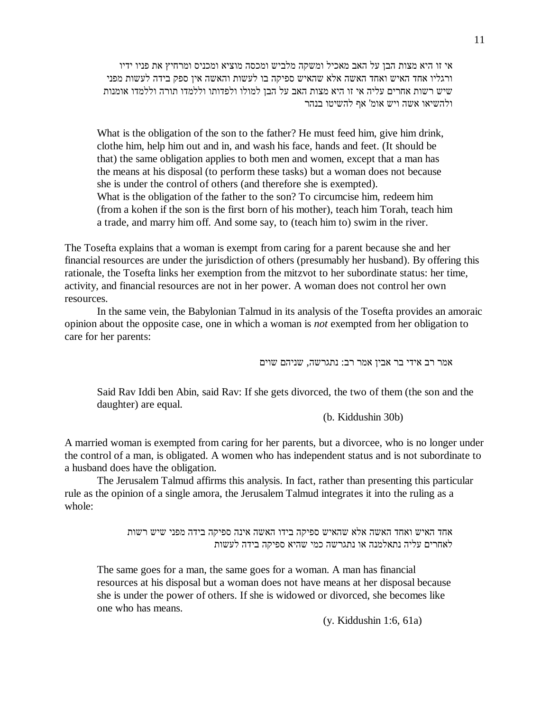אי זו היא מצות הבן על האב מאכיל ומשקה מלביש ומכסה מוציא ומכניס ומרחיץ את פניו ידיו ורגליו אחד האיש ואחד האשה אלא שהאיש ספיקה בו לעשות והאשה אין ספק בידה לעשות מפני שיש רשות אחרים עליה אי זו היא מצות האב על הבן למולו ולפדותו וללמדו תורה וללמדו אומנות ולהשיאו אשה ויש אומ' אף להשיטו בנהר

What is the obligation of the son to the father? He must feed him, give him drink, clothe him, help him out and in, and wash his face, hands and feet. (It should be that) the same obligation applies to both men and women, except that a man has the means at his disposal (to perform these tasks) but a woman does not because she is under the control of others (and therefore she is exempted). What is the obligation of the father to the son? To circumcise him, redeem him (from a kohen if the son is the first born of his mother), teach him Torah, teach him a trade, and marry him off. And some say, to (teach him to) swim in the river.

The Tosefta explains that a woman is exempt from caring for a parent because she and her financial resources are under the jurisdiction of others (presumably her husband). By offering this rationale, the Tosefta links her exemption from the mitzvot to her subordinate status: her time, activity, and financial resources are not in her power. A woman does not control her own resources.

 In the same vein, the Babylonian Talmud in its analysis of the Tosefta provides an amoraic opinion about the opposite case, one in which a woman is *not* exempted from her obligation to care for her parents:

אמר רב אידי בר אבין אמר רב: נתגרשה, שניהם שוים

 Said Rav Iddi ben Abin, said Rav: If she gets divorced, the two of them (the son and the daughter) are equal.

(b. Kiddushin 30b)

A married woman is exempted from caring for her parents, but a divorcee, who is no longer under the control of a man, is obligated. A women who has independent status and is not subordinate to a husband does have the obligation.

 The Jerusalem Talmud affirms this analysis. In fact, rather than presenting this particular rule as the opinion of a single amora, the Jerusalem Talmud integrates it into the ruling as a whole:

> אחד האיש ואחד האשה אלא שהאיש ספיקה בידו האשה אינה ספיקה בידה מפני שיש רשות לאחרים עליה נתאלמנה או נתגרשה כמי שהיא ספיקה בידה לעשות

The same goes for a man, the same goes for a woman. A man has financial resources at his disposal but a woman does not have means at her disposal because she is under the power of others. If she is widowed or divorced, she becomes like one who has means.

(y. Kiddushin 1:6, 61a)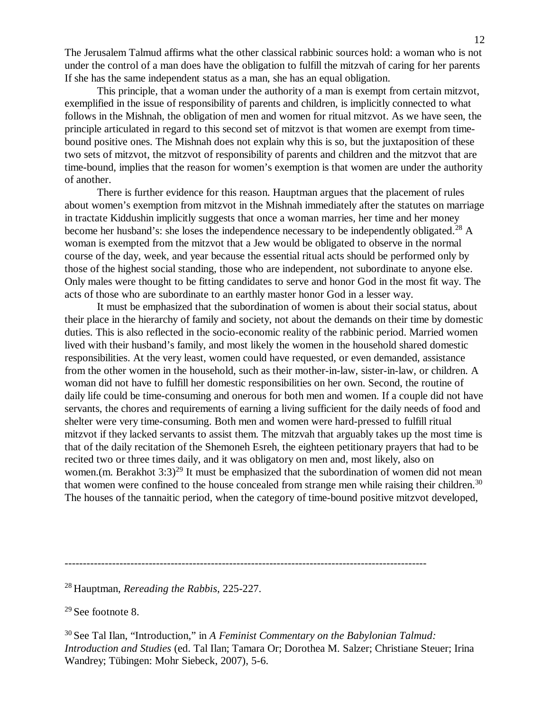The Jerusalem Talmud affirms what the other classical rabbinic sources hold: a woman who is not under the control of a man does have the obligation to fulfill the mitzvah of caring for her parents If she has the same independent status as a man, she has an equal obligation.

 This principle, that a woman under the authority of a man is exempt from certain mitzvot, exemplified in the issue of responsibility of parents and children, is implicitly connected to what follows in the Mishnah, the obligation of men and women for ritual mitzvot. As we have seen, the principle articulated in regard to this second set of mitzvot is that women are exempt from timebound positive ones. The Mishnah does not explain why this is so, but the juxtaposition of these two sets of mitzvot, the mitzvot of responsibility of parents and children and the mitzvot that are time-bound, implies that the reason for women's exemption is that women are under the authority of another.

 There is further evidence for this reason. Hauptman argues that the placement of rules about women's exemption from mitzvot in the Mishnah immediately after the statutes on marriage in tractate Kiddushin implicitly suggests that once a woman marries, her time and her money become her husband's: she loses the independence necessary to be independently obligated.<sup>28</sup> A woman is exempted from the mitzvot that a Jew would be obligated to observe in the normal course of the day, week, and year because the essential ritual acts should be performed only by those of the highest social standing, those who are independent, not subordinate to anyone else. Only males were thought to be fitting candidates to serve and honor God in the most fit way. The acts of those who are subordinate to an earthly master honor God in a lesser way.

 It must be emphasized that the subordination of women is about their social status, about their place in the hierarchy of family and society, not about the demands on their time by domestic duties. This is also reflected in the socio-economic reality of the rabbinic period. Married women lived with their husband's family, and most likely the women in the household shared domestic responsibilities. At the very least, women could have requested, or even demanded, assistance from the other women in the household, such as their mother-in-law, sister-in-law, or children. A woman did not have to fulfill her domestic responsibilities on her own. Second, the routine of daily life could be time-consuming and onerous for both men and women. If a couple did not have servants, the chores and requirements of earning a living sufficient for the daily needs of food and shelter were very time-consuming. Both men and women were hard-pressed to fulfill ritual mitzvot if they lacked servants to assist them. The mitzvah that arguably takes up the most time is that of the daily recitation of the Shemoneh Esreh, the eighteen petitionary prayers that had to be recited two or three times daily, and it was obligatory on men and, most likely, also on women.(m. Berakhot  $3:3^{29}$  It must be emphasized that the subordination of women did not mean that women were confined to the house concealed from strange men while raising their children.<sup>30</sup> The houses of the tannaitic period, when the category of time-bound positive mitzvot developed,

<sup>29</sup> See footnote 8.

<sup>---------------------------------------------------------------------------------------------------</sup>

<sup>28</sup> Hauptman, *Rereading the Rabbis*, 225-227.

<sup>30</sup> See Tal Ilan, "Introduction," in *A Feminist Commentary on the Babylonian Talmud: Introduction and Studies* (ed. Tal Ilan; Tamara Or; Dorothea M. Salzer; Christiane Steuer; Irina Wandrey; Tübingen: Mohr Siebeck, 2007), 5-6.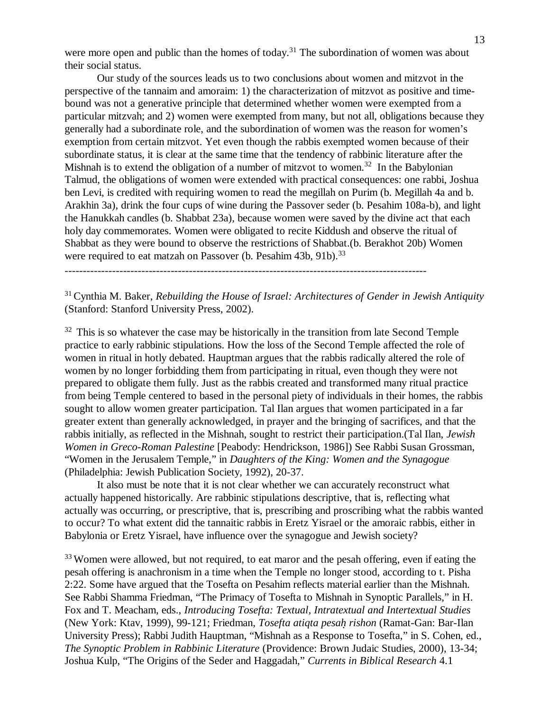were more open and public than the homes of today.<sup>31</sup> The subordination of women was about their social status.

 Our study of the sources leads us to two conclusions about women and mitzvot in the perspective of the tannaim and amoraim: 1) the characterization of mitzvot as positive and timebound was not a generative principle that determined whether women were exempted from a particular mitzvah; and 2) women were exempted from many, but not all, obligations because they generally had a subordinate role, and the subordination of women was the reason for women's exemption from certain mitzvot. Yet even though the rabbis exempted women because of their subordinate status, it is clear at the same time that the tendency of rabbinic literature after the Mishnah is to extend the obligation of a number of mitzvot to women.<sup>32</sup> In the Babylonian Talmud, the obligations of women were extended with practical consequences: one rabbi, Joshua ben Levi, is credited with requiring women to read the megillah on Purim (b. Megillah 4a and b. Arakhin 3a), drink the four cups of wine during the Passover seder (b. Pesahim 108a-b), and light the Hanukkah candles (b. Shabbat 23a), because women were saved by the divine act that each holy day commemorates. Women were obligated to recite Kiddush and observe the ritual of Shabbat as they were bound to observe the restrictions of Shabbat.(b. Berakhot 20b) Women were required to eat matzah on Passover (b. Pesahim 43b, 91b).<sup>33</sup>

<sup>31</sup> Cynthia M. Baker, *Rebuilding the House of Israel: Architectures of Gender in Jewish Antiquity* (Stanford: Stanford University Press, 2002).

 $32$  This is so whatever the case may be historically in the transition from late Second Temple practice to early rabbinic stipulations. How the loss of the Second Temple affected the role of women in ritual in hotly debated. Hauptman argues that the rabbis radically altered the role of women by no longer forbidding them from participating in ritual, even though they were not prepared to obligate them fully. Just as the rabbis created and transformed many ritual practice from being Temple centered to based in the personal piety of individuals in their homes, the rabbis sought to allow women greater participation. Tal Ilan argues that women participated in a far greater extent than generally acknowledged, in prayer and the bringing of sacrifices, and that the rabbis initially, as reflected in the Mishnah, sought to restrict their participation.(Tal Ilan, *Jewish Women in Greco-Roman Palestine* [Peabody: Hendrickson, 1986]) See Rabbi Susan Grossman, "Women in the Jerusalem Temple," in *Daughters of the King: Women and the Synagogue* (Philadelphia: Jewish Publication Society, 1992), 20-37.

 It also must be note that it is not clear whether we can accurately reconstruct what actually happened historically. Are rabbinic stipulations descriptive, that is, reflecting what actually was occurring, or prescriptive, that is, prescribing and proscribing what the rabbis wanted to occur? To what extent did the tannaitic rabbis in Eretz Yisrael or the amoraic rabbis, either in Babylonia or Eretz Yisrael, have influence over the synagogue and Jewish society?

<sup>33</sup> Women were allowed, but not required, to eat maror and the pesah offering, even if eating the pesah offering is anachronism in a time when the Temple no longer stood, according to t. Pisha 2:22. Some have argued that the Tosefta on Pesahim reflects material earlier than the Mishnah. See Rabbi Shamma Friedman, "The Primacy of Tosefta to Mishnah in Synoptic Parallels," in H. Fox and T. Meacham, eds., *Introducing Tosefta: Textual, Intratextual and Intertextual Studies* (New York: Ktav, 1999), 99-121; Friedman, *Tosefta atiqta pesah. rishon* (Ramat-Gan: Bar-Ilan University Press); Rabbi Judith Hauptman, "Mishnah as a Response to Tosefta," in S. Cohen, ed., *The Synoptic Problem in Rabbinic Literature* (Providence: Brown Judaic Studies, 2000), 13-34; Joshua Kulp, "The Origins of the Seder and Haggadah," *Currents in Biblical Research* 4.1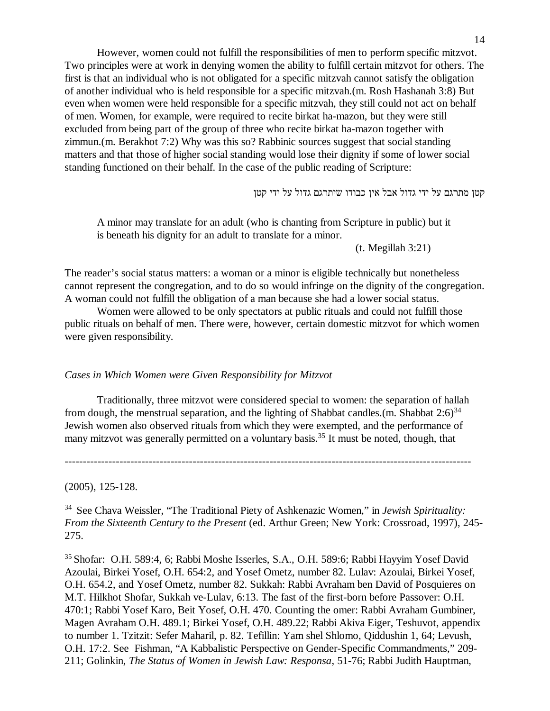However, women could not fulfill the responsibilities of men to perform specific mitzvot. Two principles were at work in denying women the ability to fulfill certain mitzvot for others. The first is that an individual who is not obligated for a specific mitzvah cannot satisfy the obligation of another individual who is held responsible for a specific mitzvah.(m. Rosh Hashanah 3:8) But even when women were held responsible for a specific mitzvah, they still could not act on behalf of men. Women, for example, were required to recite birkat ha-mazon, but they were still excluded from being part of the group of three who recite birkat ha-mazon together with zimmun.(m. Berakhot 7:2) Why was this so? Rabbinic sources suggest that social standing matters and that those of higher social standing would lose their dignity if some of lower social standing functioned on their behalf. In the case of the public reading of Scripture:

קטן מתרגם על ידי גדול אבל אין כבודו שיתרגם גדול על ידי קטן

A minor may translate for an adult (who is chanting from Scripture in public) but it is beneath his dignity for an adult to translate for a minor.

(t. Megillah 3:21)

The reader's social status matters: a woman or a minor is eligible technically but nonetheless cannot represent the congregation, and to do so would infringe on the dignity of the congregation. A woman could not fulfill the obligation of a man because she had a lower social status.

 Women were allowed to be only spectators at public rituals and could not fulfill those public rituals on behalf of men. There were, however, certain domestic mitzvot for which women were given responsibility.

## *Cases in Which Women were Given Responsibility for Mitzvot*

 Traditionally, three mitzvot were considered special to women: the separation of hallah from dough, the menstrual separation, and the lighting of Shabbat candles.(m. Shabbat  $2:6$ )<sup>34</sup> Jewish women also observed rituals from which they were exempted, and the performance of many mitzvot was generally permitted on a voluntary basis.<sup>35</sup> It must be noted, though, that

---------------------------------------------------------------------------------------------------------------

(2005), 125-128.

<sup>34</sup> See Chava Weissler, "The Traditional Piety of Ashkenazic Women," in *Jewish Spirituality: From the Sixteenth Century to the Present* (ed. Arthur Green; New York: Crossroad, 1997), 245- 275.

<sup>35</sup> Shofar: O.H. 589:4, 6; Rabbi Moshe Isserles, S.A., O.H. 589:6; Rabbi Hayyim Yosef David Azoulai, Birkei Yosef, O.H. 654:2, and Yosef Ometz, number 82. Lulav: Azoulai, Birkei Yosef, O.H. 654.2, and Yosef Ometz, number 82. Sukkah: Rabbi Avraham ben David of Posquieres on M.T. Hilkhot Shofar, Sukkah ve-Lulav, 6:13. The fast of the first-born before Passover: O.H. 470:1; Rabbi Yosef Karo, Beit Yosef, O.H. 470. Counting the omer: Rabbi Avraham Gumbiner, Magen Avraham O.H. 489.1; Birkei Yosef, O.H. 489.22; Rabbi Akiva Eiger, Teshuvot, appendix to number 1. Tzitzit: Sefer Maharil, p. 82. Tefillin: Yam shel Shlomo, Qiddushin 1, 64; Levush, O.H. 17:2. See Fishman, "A Kabbalistic Perspective on Gender-Specific Commandments," 209- 211; Golinkin, *The Status of Women in Jewish Law: Responsa*, 51-76; Rabbi Judith Hauptman,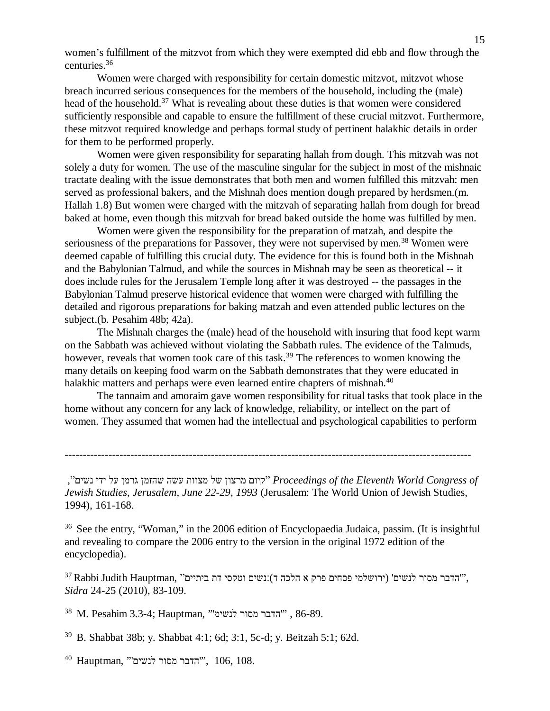women's fulfillment of the mitzvot from which they were exempted did ebb and flow through the centuries.<sup>36</sup>

 Women were charged with responsibility for certain domestic mitzvot, mitzvot whose breach incurred serious consequences for the members of the household, including the (male) head of the household.<sup>37</sup> What is revealing about these duties is that women were considered sufficiently responsible and capable to ensure the fulfillment of these crucial mitzvot. Furthermore, these mitzvot required knowledge and perhaps formal study of pertinent halakhic details in order for them to be performed properly.

 Women were given responsibility for separating hallah from dough. This mitzvah was not solely a duty for women. The use of the masculine singular for the subject in most of the mishnaic tractate dealing with the issue demonstrates that both men and women fulfilled this mitzvah: men served as professional bakers, and the Mishnah does mention dough prepared by herdsmen.(m. Hallah 1.8) But women were charged with the mitzvah of separating hallah from dough for bread baked at home, even though this mitzvah for bread baked outside the home was fulfilled by men.

 Women were given the responsibility for the preparation of matzah, and despite the seriousness of the preparations for Passover, they were not supervised by men.<sup>38</sup> Women were deemed capable of fulfilling this crucial duty. The evidence for this is found both in the Mishnah and the Babylonian Talmud, and while the sources in Mishnah may be seen as theoretical -- it does include rules for the Jerusalem Temple long after it was destroyed -- the passages in the Babylonian Talmud preserve historical evidence that women were charged with fulfilling the detailed and rigorous preparations for baking matzah and even attended public lectures on the subject.(b. Pesahim 48b; 42a).

 The Mishnah charges the (male) head of the household with insuring that food kept warm on the Sabbath was achieved without violating the Sabbath rules. The evidence of the Talmuds, however, reveals that women took care of this task.<sup>39</sup> The references to women knowing the many details on keeping food warm on the Sabbath demonstrates that they were educated in halakhic matters and perhaps were even learned entire chapters of mishnah.<sup>40</sup>

 The tannaim and amoraim gave women responsibility for ritual tasks that took place in the home without any concern for any lack of knowledge, reliability, or intellect on the part of women. They assumed that women had the intellectual and psychological capabilities to perform

---------------------------------------------------------------------------------------------------------------

 *of Congress World Eleventh the of Proceedings*" קיום מרצון של מצוות עשה שהזמן גרמן על ידי נשים", *Jewish Studies, Jerusalem, June 22-29, 1993* (Jerusalem: The World Union of Jewish Studies, 1994), 161-168.

<sup>36</sup> See the entry, "Woman," in the 2006 edition of Encyclopaedia Judaica, passim. (It is insightful and revealing to compare the 2006 entry to the version in the original 1972 edition of the encyclopedia).

 $^{37}$ Rabbi Judith Hauptman, "הדבר מסור לנשים' (ירושלמי פסחים פרק א הלכה ד):נשים וטקסי דת ביתיים" *Sidra* 24-25 (2010), 83-109.

 $^{38}$ M. Pesahim 3.3-4: Hauptman, "הדבר מסור לנשימ" , 86-89.

<sup>39</sup> B. Shabbat 38b; y. Shabbat 4:1; 6d; 3:1, 5c-d; y. Beitzah 5:1; 62d.

 $^{40}$ Hauptman, "'הדבר מסור לנשים'", 106, 108.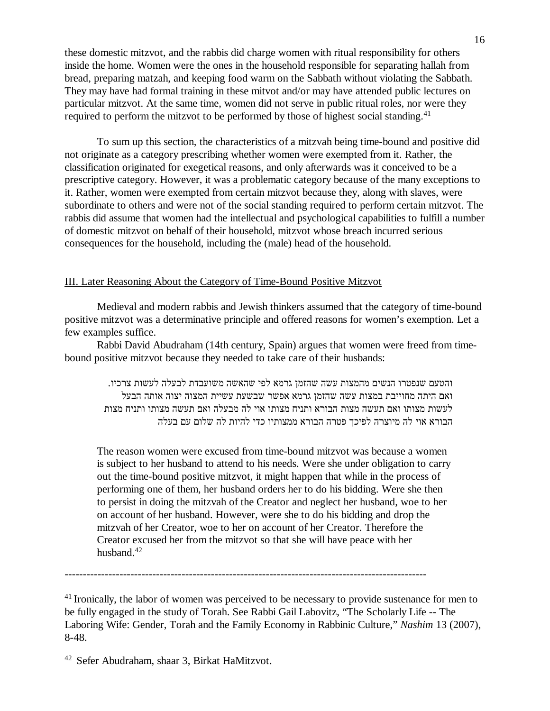these domestic mitzvot, and the rabbis did charge women with ritual responsibility for others inside the home. Women were the ones in the household responsible for separating hallah from bread, preparing matzah, and keeping food warm on the Sabbath without violating the Sabbath. They may have had formal training in these mitvot and/or may have attended public lectures on particular mitzvot. At the same time, women did not serve in public ritual roles, nor were they required to perform the mitzvot to be performed by those of highest social standing.<sup>41</sup>

 To sum up this section, the characteristics of a mitzvah being time-bound and positive did not originate as a category prescribing whether women were exempted from it. Rather, the classification originated for exegetical reasons, and only afterwards was it conceived to be a prescriptive category. However, it was a problematic category because of the many exceptions to it. Rather, women were exempted from certain mitzvot because they, along with slaves, were subordinate to others and were not of the social standing required to perform certain mitzvot. The rabbis did assume that women had the intellectual and psychological capabilities to fulfill a number of domestic mitzvot on behalf of their household, mitzvot whose breach incurred serious consequences for the household, including the (male) head of the household.

# III. Later Reasoning About the Category of Time-Bound Positive Mitzvot

 Medieval and modern rabbis and Jewish thinkers assumed that the category of time-bound positive mitzvot was a determinative principle and offered reasons for women's exemption. Let a few examples suffice.

 Rabbi David Abudraham (14th century, Spain) argues that women were freed from timebound positive mitzvot because they needed to take care of their husbands:

והטעם שנפטרו הנשים מהמצות עשה שהזמן גרמא לפי שהאשה משועבדת לבעלה לעשות צרכיו. ואם היתה מחוייבת במצות עשה שהזמן גרמא אפשר שבשעת עשיית המצוה יצוה אותה הבעל לעשות מצותו ואם תעשה מצות הבורא ותניח מצותו אוי לה מבעלה ואם תעשה מצותו ותניח מצות הבורא אוי לה מיוצרה לפיכך פטרה הבורא ממצותיו כדי להיות לה שלום עם בעלה

The reason women were excused from time-bound mitzvot was because a women is subject to her husband to attend to his needs. Were she under obligation to carry out the time-bound positive mitzvot, it might happen that while in the process of performing one of them, her husband orders her to do his bidding. Were she then to persist in doing the mitzvah of the Creator and neglect her husband, woe to her on account of her husband. However, were she to do his bidding and drop the mitzvah of her Creator, woe to her on account of her Creator. Therefore the Creator excused her from the mitzvot so that she will have peace with her husband.<sup>42</sup>

---------------------------------------------------------------------------------------------------

 $41$  Ironically, the labor of women was perceived to be necessary to provide sustenance for men to be fully engaged in the study of Torah. See Rabbi Gail Labovitz, "The Scholarly Life -- The Laboring Wife: Gender, Torah and the Family Economy in Rabbinic Culture," *Nashim* 13 (2007), 8-48.

<sup>42</sup> Sefer Abudraham, shaar 3, Birkat HaMitzvot.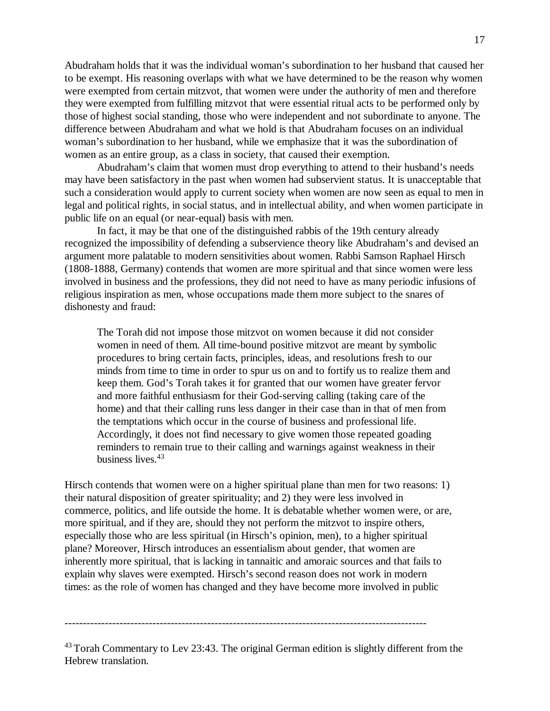Abudraham holds that it was the individual woman's subordination to her husband that caused her to be exempt. His reasoning overlaps with what we have determined to be the reason why women were exempted from certain mitzvot, that women were under the authority of men and therefore they were exempted from fulfilling mitzvot that were essential ritual acts to be performed only by those of highest social standing, those who were independent and not subordinate to anyone. The difference between Abudraham and what we hold is that Abudraham focuses on an individual woman's subordination to her husband, while we emphasize that it was the subordination of women as an entire group, as a class in society, that caused their exemption.

 Abudraham's claim that women must drop everything to attend to their husband's needs may have been satisfactory in the past when women had subservient status. It is unacceptable that such a consideration would apply to current society when women are now seen as equal to men in legal and political rights, in social status, and in intellectual ability, and when women participate in public life on an equal (or near-equal) basis with men.

 In fact, it may be that one of the distinguished rabbis of the 19th century already recognized the impossibility of defending a subservience theory like Abudraham's and devised an argument more palatable to modern sensitivities about women. Rabbi Samson Raphael Hirsch (1808-1888, Germany) contends that women are more spiritual and that since women were less involved in business and the professions, they did not need to have as many periodic infusions of religious inspiration as men, whose occupations made them more subject to the snares of dishonesty and fraud:

The Torah did not impose those mitzvot on women because it did not consider women in need of them. All time-bound positive mitzvot are meant by symbolic procedures to bring certain facts, principles, ideas, and resolutions fresh to our minds from time to time in order to spur us on and to fortify us to realize them and keep them. God's Torah takes it for granted that our women have greater fervor and more faithful enthusiasm for their God-serving calling (taking care of the home) and that their calling runs less danger in their case than in that of men from the temptations which occur in the course of business and professional life. Accordingly, it does not find necessary to give women those repeated goading reminders to remain true to their calling and warnings against weakness in their business lives.<sup>43</sup>

Hirsch contends that women were on a higher spiritual plane than men for two reasons: 1) their natural disposition of greater spirituality; and 2) they were less involved in commerce, politics, and life outside the home. It is debatable whether women were, or are, more spiritual, and if they are, should they not perform the mitzvot to inspire others, especially those who are less spiritual (in Hirsch's opinion, men), to a higher spiritual plane? Moreover, Hirsch introduces an essentialism about gender, that women are inherently more spiritual, that is lacking in tannaitic and amoraic sources and that fails to explain why slaves were exempted. Hirsch's second reason does not work in modern times: as the role of women has changed and they have become more involved in public

---------------------------------------------------------------------------------------------------

 $43$  Torah Commentary to Lev 23:43. The original German edition is slightly different from the Hebrew translation.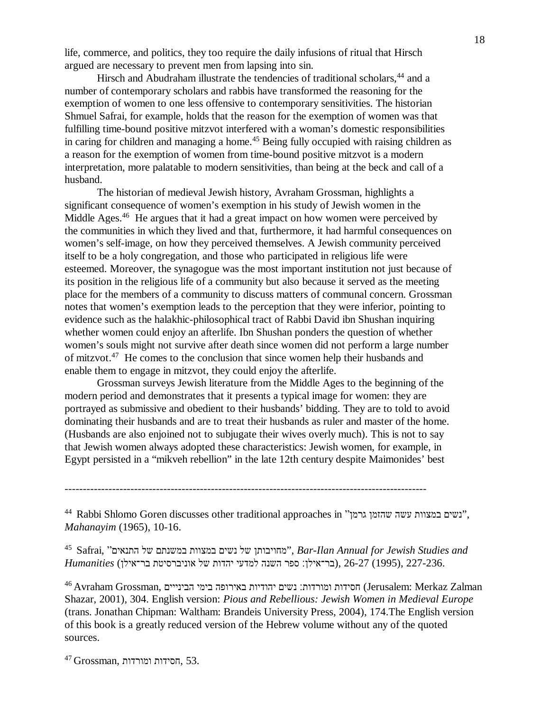life, commerce, and politics, they too require the daily infusions of ritual that Hirsch argued are necessary to prevent men from lapsing into sin.

Hirsch and Abudraham illustrate the tendencies of traditional scholars,<sup>44</sup> and a number of contemporary scholars and rabbis have transformed the reasoning for the exemption of women to one less offensive to contemporary sensitivities. The historian Shmuel Safrai, for example, holds that the reason for the exemption of women was that fulfilling time-bound positive mitzvot interfered with a woman's domestic responsibilities in caring for children and managing a home.<sup>45</sup> Being fully occupied with raising children as a reason for the exemption of women from time-bound positive mitzvot is a modern interpretation, more palatable to modern sensitivities, than being at the beck and call of a husband.

 The historian of medieval Jewish history, Avraham Grossman, highlights a significant consequence of women's exemption in his study of Jewish women in the Middle Ages.<sup>46</sup> He argues that it had a great impact on how women were perceived by the communities in which they lived and that, furthermore, it had harmful consequences on women's self-image, on how they perceived themselves. A Jewish community perceived itself to be a holy congregation, and those who participated in religious life were esteemed. Moreover, the synagogue was the most important institution not just because of its position in the religious life of a community but also because it served as the meeting place for the members of a community to discuss matters of communal concern. Grossman notes that women's exemption leads to the perception that they were inferior, pointing to evidence such as the halakhic-philosophical tract of Rabbi David ibn Shushan inquiring whether women could enjoy an afterlife. Ibn Shushan ponders the question of whether women's souls might not survive after death since women did not perform a large number of mitzvot.<sup>47</sup> He comes to the conclusion that since women help their husbands and enable them to engage in mitzvot, they could enjoy the afterlife.

 Grossman surveys Jewish literature from the Middle Ages to the beginning of the modern period and demonstrates that it presents a typical image for women: they are portrayed as submissive and obedient to their husbands' bidding. They are to told to avoid dominating their husbands and are to treat their husbands as ruler and master of the home. (Husbands are also enjoined not to subjugate their wives overly much). This is not to say that Jewish women always adopted these characteristics: Jewish women, for example, in Egypt persisted in a "mikveh rebellion" in the late 12th century despite Maimonides' best

---------------------------------------------------------------------------------------------------

44 Rabbi Shlomo Goren discusses other traditional approaches in "גשים במצוות עשה שהזמן עס", *Mahanayim* (1965), 10-16.

<sup>45</sup> Safrai, "התנאים של במשנתם במצוות נשים של מחויבותן", *Bar-Ilan Annual for Jewish Studies and*  227-236. ,(1995) 26-27 ,(בר־אילן׃ ספר השנה למדעי יהדות של אוניברסיטת בר־אילן) *Humanities*

46 Avraham Grossman, בימי הבינייים ומורדות: נשים יהודיות באירופה בימי הבינייים (Jerusalem: Merkaz Zalman Shazar, 2001), 304. English version: *Pious and Rebellious: Jewish Women in Medieval Europe* (trans. Jonathan Chipman: Waltham: Brandeis University Press, 2004), 174.The English version of this book is a greatly reduced version of the Hebrew volume without any of the quoted sources.

 $^{47}$  Grossman, הסידות ומורדות, 53.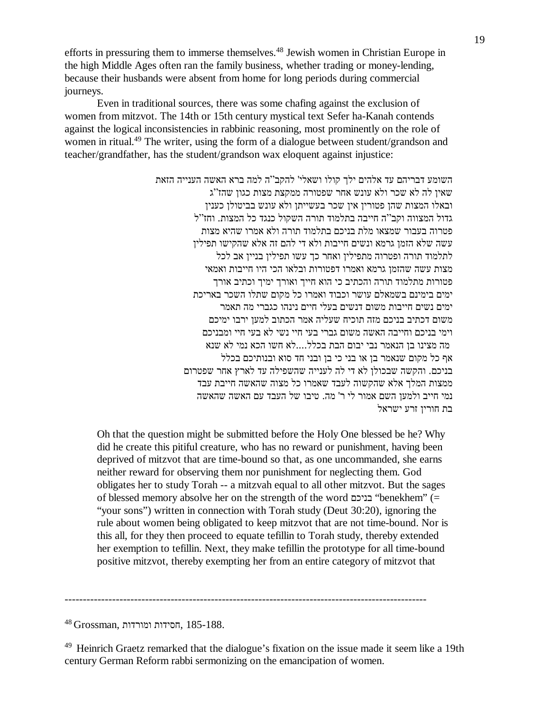efforts in pressuring them to immerse themselves.<sup>48</sup> Jewish women in Christian Europe in the high Middle Ages often ran the family business, whether trading or money-lending, because their husbands were absent from home for long periods during commercial journeys.

 Even in traditional sources, there was some chafing against the exclusion of women from mitzvot. The 14th or 15th century mystical text Sefer ha-Kanah contends against the logical inconsistencies in rabbinic reasoning, most prominently on the role of women in ritual.<sup>49</sup> The writer, using the form of a dialogue between student/grandson and teacher/grandfather, has the student/grandson wax eloquent against injustice:

> השומע דבריהם עד אלהים ילך קולו ושאלי' להקב"ה למה ברא האשה הענייה הזאת שאין לה לא שכר ולא עונש אחר שפטורה ממקצת מצות כגון שהז"ג ובאלו המצות שהן פטורין אין שכר בעשייתן ולא עונש בביטולן כענין גדול המצווה וקב"ה חייבה בתלמוד תורה השקול כנגד כל המצות. וחז"ל פטרוה בעבור שמצאו מלת בניכם בתלמוד תורה ולא אמרו שהיא מצות עשה שלא הזמן גרמא ונשים חייבות ולא די להם זה אלא שהקישו תפילין לתלמוד תורה ופטרוה מתפילין ואחר כך עשו תפילין בניין אב לכל מצות עשה שהזמן גרמא ואמרו דפטורות ובלאו הכי היו חייבות ואמאי פטורות מתלמוד תורה והכתיב כי הוא חייך ואורך ימיך וכתיב אורך ימים בימינם בשמאלם עושר וכבוד ואמרו כל מקום שתלו השכר באריכת ימים נשים חייבות משום דנשים בעלי חיים נינהו כגברי מה תאמר משום דכתיב בניכם מזה תוכיח שעליה אמר הכתוב למען ירבו ימיכם וימי בניכם וחייבה האשה משום גברי בעי חיי נשי לא בעי חיי ומבניכם מה מצינו בן הנאמר נבי יבום הבת בכלל....לא חשו הכא נמי לא שנא אף כל מקום שנאמר בן או בני כי בן ובני חד סוא ובנותיכם בכלל בניכם. והקשה שבכולן לא די לה לענייה שהשפילה עד לארץ אחר שפטרום ממצות המלך אלא שהקשוה לעבד שאמרו כל מצוה שהאשה חייבת עבד נמי חייב ולמען השם אמור לי ר' מה. טיבו של העבד עם האשה שהאשה בת חורין זרע ישראל

Oh that the question might be submitted before the Holy One blessed be he? Why did he create this pitiful creature, who has no reward or punishment, having been deprived of mitzvot that are time-bound so that, as one uncommanded, she earns neither reward for observing them nor punishment for neglecting them. God obligates her to study Torah -- a mitzvah equal to all other mitzvot. But the sages of blessed memory absolve her on the strength of the word בניכם" benekhem" (= "your sons") written in connection with Torah study (Deut 30:20), ignoring the rule about women being obligated to keep mitzvot that are not time-bound. Nor is this all, for they then proceed to equate tefillin to Torah study, thereby extended her exemption to tefillin. Next, they make tefillin the prototype for all time-bound positive mitzvot, thereby exempting her from an entire category of mitzvot that

---------------------------------------------------------------------------------------------------

 $^{48}$  Grossman, הסידות ומורדות, 185-188.

<sup>&</sup>lt;sup>49</sup> Heinrich Graetz remarked that the dialogue's fixation on the issue made it seem like a 19th century German Reform rabbi sermonizing on the emancipation of women.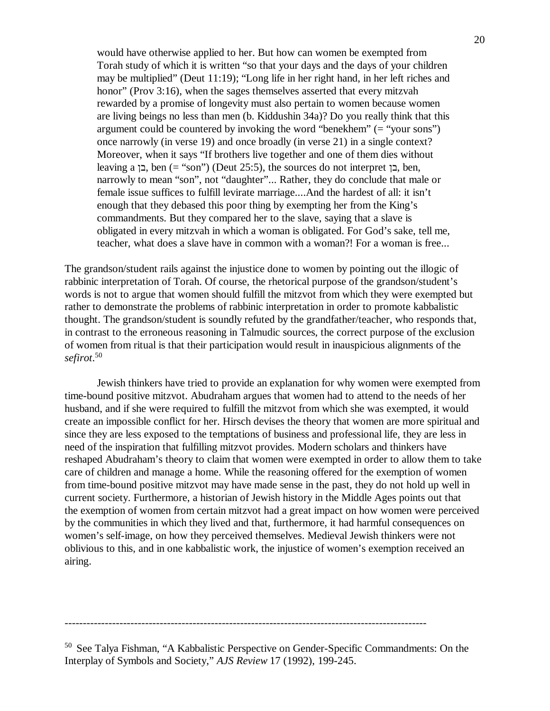would have otherwise applied to her. But how can women be exempted from Torah study of which it is written "so that your days and the days of your children may be multiplied" (Deut 11:19); "Long life in her right hand, in her left riches and honor" (Prov 3:16), when the sages themselves asserted that every mitzvah rewarded by a promise of longevity must also pertain to women because women are living beings no less than men (b. Kiddushin 34a)? Do you really think that this argument could be countered by invoking the word "benekhem" (= "your sons") once narrowly (in verse 19) and once broadly (in verse 21) in a single context? Moreover, when it says "If brothers live together and one of them dies without leaving a בן, ben (= "son") (Deut 25:5), the sources do not interpret בן, ben, narrowly to mean "son", not "daughter"... Rather, they do conclude that male or female issue suffices to fulfill levirate marriage....And the hardest of all: it isn't enough that they debased this poor thing by exempting her from the King's commandments. But they compared her to the slave, saying that a slave is obligated in every mitzvah in which a woman is obligated. For God's sake, tell me, teacher, what does a slave have in common with a woman?! For a woman is free...

The grandson/student rails against the injustice done to women by pointing out the illogic of rabbinic interpretation of Torah. Of course, the rhetorical purpose of the grandson/student's words is not to argue that women should fulfill the mitzvot from which they were exempted but rather to demonstrate the problems of rabbinic interpretation in order to promote kabbalistic thought. The grandson/student is soundly refuted by the grandfather/teacher, who responds that, in contrast to the erroneous reasoning in Talmudic sources, the correct purpose of the exclusion of women from ritual is that their participation would result in inauspicious alignments of the *sefirot*. 50

 Jewish thinkers have tried to provide an explanation for why women were exempted from time-bound positive mitzvot. Abudraham argues that women had to attend to the needs of her husband, and if she were required to fulfill the mitzvot from which she was exempted, it would create an impossible conflict for her. Hirsch devises the theory that women are more spiritual and since they are less exposed to the temptations of business and professional life, they are less in need of the inspiration that fulfilling mitzvot provides. Modern scholars and thinkers have reshaped Abudraham's theory to claim that women were exempted in order to allow them to take care of children and manage a home. While the reasoning offered for the exemption of women from time-bound positive mitzvot may have made sense in the past, they do not hold up well in current society. Furthermore, a historian of Jewish history in the Middle Ages points out that the exemption of women from certain mitzvot had a great impact on how women were perceived by the communities in which they lived and that, furthermore, it had harmful consequences on women's self-image, on how they perceived themselves. Medieval Jewish thinkers were not oblivious to this, and in one kabbalistic work, the injustice of women's exemption received an airing.

---------------------------------------------------------------------------------------------------

<sup>50</sup> See Talya Fishman, "A Kabbalistic Perspective on Gender-Specific Commandments: On the Interplay of Symbols and Society," *AJS Review* 17 (1992), 199-245.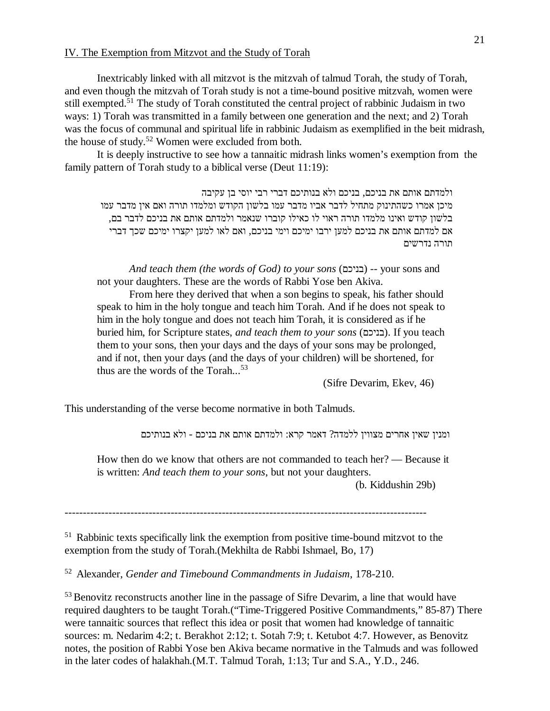#### IV. The Exemption from Mitzvot and the Study of Torah

 Inextricably linked with all mitzvot is the mitzvah of talmud Torah, the study of Torah, and even though the mitzvah of Torah study is not a time-bound positive mitzvah, women were still exempted.<sup>51</sup> The study of Torah constituted the central project of rabbinic Judaism in two ways: 1) Torah was transmitted in a family between one generation and the next; and 2) Torah was the focus of communal and spiritual life in rabbinic Judaism as exemplified in the beit midrash, the house of study.<sup>52</sup> Women were excluded from both.

 It is deeply instructive to see how a tannaitic midrash links women's exemption from the family pattern of Torah study to a biblical verse (Deut 11:19):

ולמדתם אותם את בניכם, בניכם ולא בנותיכם דברי רבי יוסי בן עקיבה מיכן אמרו כשהתינוק מתחיל לדבר אביו מדבר עמו בלשון הקודש ומלמדו תורה ואם אין מדבר עמו בלשון קודש ואינו מלמדו תורה ראוי לו כאילו קוברו שנאמר ולמדתם אותם את בניכם לדבר בם, אם למדתם אותם את בניכם למען ירבו ימיכם וימי בניכם, ואם לאו למען יקצרו ימיכם שכך דברי תורה נדרשים

*And teach them (the words of God) to your sons* (בניכם) -- your sons and not your daughters. These are the words of Rabbi Yose ben Akiva.

 From here they derived that when a son begins to speak, his father should speak to him in the holy tongue and teach him Torah. And if he does not speak to him in the holy tongue and does not teach him Torah, it is considered as if he buried him, for Scripture states, *and teach them to your sons* (בניכם(. If you teach them to your sons, then your days and the days of your sons may be prolonged, and if not, then your days (and the days of your children) will be shortened, for thus are the words of the Torah...<sup>53</sup>

(Sifre Devarim, Ekev, 46)

This understanding of the verse become normative in both Talmuds.

ומנין שאין אחרים מצווין ללמדה? דאמר קרא: ולמדתם אותם את בניכם - ולא בנותיכם

How then do we know that others are not commanded to teach her? — Because it is written: *And teach them to your sons*, but not your daughters.

(b. Kiddushin 29b)

---------------------------------------------------------------------------------------------------

<sup>51</sup> Rabbinic texts specifically link the exemption from positive time-bound mitzvot to the exemption from the study of Torah.(Mekhilta de Rabbi Ishmael, Bo, 17)

<sup>52</sup> Alexander, *Gender and Timebound Commandments in Judaism*, 178-210.

<sup>53</sup> Benovitz reconstructs another line in the passage of Sifre Devarim, a line that would have required daughters to be taught Torah.("Time-Triggered Positive Commandments," 85-87) There were tannaitic sources that reflect this idea or posit that women had knowledge of tannaitic sources: m. Nedarim 4:2; t. Berakhot 2:12; t. Sotah 7:9; t. Ketubot 4:7. However, as Benovitz notes, the position of Rabbi Yose ben Akiva became normative in the Talmuds and was followed in the later codes of halakhah.(M.T. Talmud Torah, 1:13; Tur and S.A., Y.D., 246.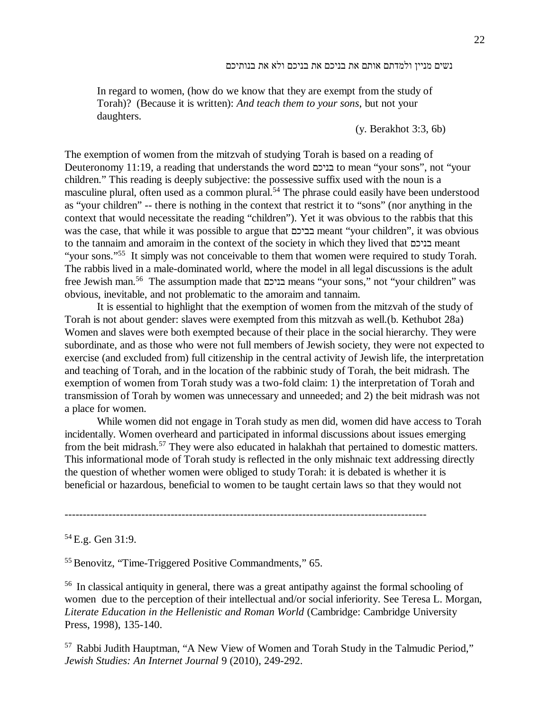In regard to women, (how do we know that they are exempt from the study of Torah)? (Because it is written): *And teach them to your sons*, but not your daughters.

(y. Berakhot 3:3, 6b)

The exemption of women from the mitzvah of studying Torah is based on a reading of Deuteronomy 11:19, a reading that understands the word בניכם to mean "your sons", not "your children." This reading is deeply subjective: the possessive suffix used with the noun is a masculine plural, often used as a common plural.<sup>54</sup> The phrase could easily have been understood as "your children" -- there is nothing in the context that restrict it to "sons" (nor anything in the context that would necessitate the reading "children"). Yet it was obvious to the rabbis that this was the case, that while it was possible to argue that בביכם meant "your children", it was obvious to the tannaim and amoraim in the context of the society in which they lived that בניכם meant "your sons."<sup>55</sup> It simply was not conceivable to them that women were required to study Torah. The rabbis lived in a male-dominated world, where the model in all legal discussions is the adult free Jewish man.<sup>56</sup> The assumption made that בניכם means "your sons," not "your children" was obvious, inevitable, and not problematic to the amoraim and tannaim.

 It is essential to highlight that the exemption of women from the mitzvah of the study of Torah is not about gender: slaves were exempted from this mitzvah as well.(b. Kethubot 28a) Women and slaves were both exempted because of their place in the social hierarchy. They were subordinate, and as those who were not full members of Jewish society, they were not expected to exercise (and excluded from) full citizenship in the central activity of Jewish life, the interpretation and teaching of Torah, and in the location of the rabbinic study of Torah, the beit midrash. The exemption of women from Torah study was a two-fold claim: 1) the interpretation of Torah and transmission of Torah by women was unnecessary and unneeded; and 2) the beit midrash was not a place for women.

 While women did not engage in Torah study as men did, women did have access to Torah incidentally. Women overheard and participated in informal discussions about issues emerging from the beit midrash.<sup>57</sup> They were also educated in halakhah that pertained to domestic matters. This informational mode of Torah study is reflected in the only mishnaic text addressing directly the question of whether women were obliged to study Torah: it is debated is whether it is beneficial or hazardous, beneficial to women to be taught certain laws so that they would not

---------------------------------------------------------------------------------------------------

<sup>54</sup> E.g. Gen 31:9.

<sup>55</sup> Benovitz, "Time-Triggered Positive Commandments," 65.

<sup>56</sup> In classical antiquity in general, there was a great antipathy against the formal schooling of women due to the perception of their intellectual and/or social inferiority. See Teresa L. Morgan, *Literate Education in the Hellenistic and Roman World* (Cambridge: Cambridge University Press, 1998), 135-140.

<sup>57</sup> Rabbi Judith Hauptman, "A New View of Women and Torah Study in the Talmudic Period," *Jewish Studies: An Internet Journal* 9 (2010), 249-292.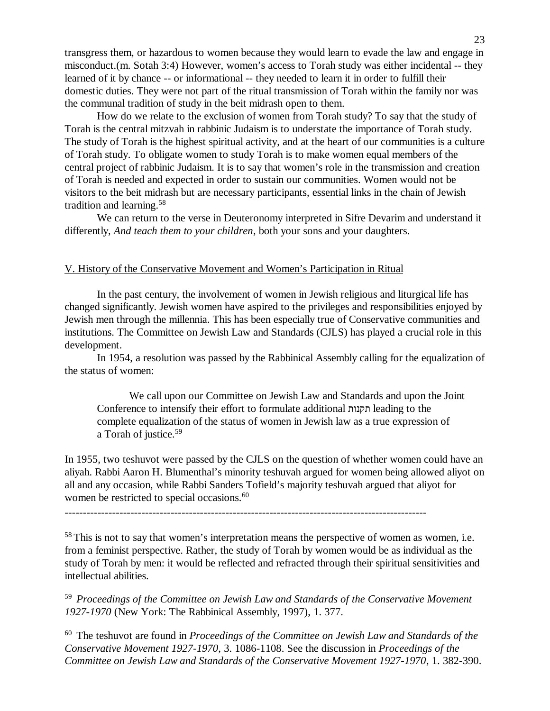transgress them, or hazardous to women because they would learn to evade the law and engage in misconduct.(m. Sotah 3:4) However, women's access to Torah study was either incidental -- they learned of it by chance -- or informational -- they needed to learn it in order to fulfill their domestic duties. They were not part of the ritual transmission of Torah within the family nor was the communal tradition of study in the beit midrash open to them.

 How do we relate to the exclusion of women from Torah study? To say that the study of Torah is the central mitzvah in rabbinic Judaism is to understate the importance of Torah study. The study of Torah is the highest spiritual activity, and at the heart of our communities is a culture of Torah study. To obligate women to study Torah is to make women equal members of the central project of rabbinic Judaism. It is to say that women's role in the transmission and creation of Torah is needed and expected in order to sustain our communities. Women would not be visitors to the beit midrash but are necessary participants, essential links in the chain of Jewish tradition and learning.<sup>58</sup>

 We can return to the verse in Deuteronomy interpreted in Sifre Devarim and understand it differently, *And teach them to your children*, both your sons and your daughters.

# V. History of the Conservative Movement and Women's Participation in Ritual

 In the past century, the involvement of women in Jewish religious and liturgical life has changed significantly. Jewish women have aspired to the privileges and responsibilities enjoyed by Jewish men through the millennia. This has been especially true of Conservative communities and institutions. The Committee on Jewish Law and Standards (CJLS) has played a crucial role in this development.

 In 1954, a resolution was passed by the Rabbinical Assembly calling for the equalization of the status of women:

 We call upon our Committee on Jewish Law and Standards and upon the Joint Conference to intensify their effort to formulate additional תקנות leading to the complete equalization of the status of women in Jewish law as a true expression of a Torah of justice.<sup>59</sup>

In 1955, two teshuvot were passed by the CJLS on the question of whether women could have an aliyah. Rabbi Aaron H. Blumenthal's minority teshuvah argued for women being allowed aliyot on all and any occasion, while Rabbi Sanders Tofield's majority teshuvah argued that aliyot for women be restricted to special occasions.<sup>60</sup>

<sup>58</sup> This is not to say that women's interpretation means the perspective of women as women, i.e. from a feminist perspective. Rather, the study of Torah by women would be as individual as the study of Torah by men: it would be reflected and refracted through their spiritual sensitivities and intellectual abilities.

<sup>59</sup> *Proceedings of the Committee on Jewish Law and Standards of the Conservative Movement 1927-1970* (New York: The Rabbinical Assembly, 1997), 1. 377.

<sup>60</sup> The teshuvot are found in *Proceedings of the Committee on Jewish Law and Standards of the Conservative Movement 1927-1970*, 3. 1086-1108. See the discussion in *Proceedings of the Committee on Jewish Law and Standards of the Conservative Movement 1927-1970*, 1. 382-390.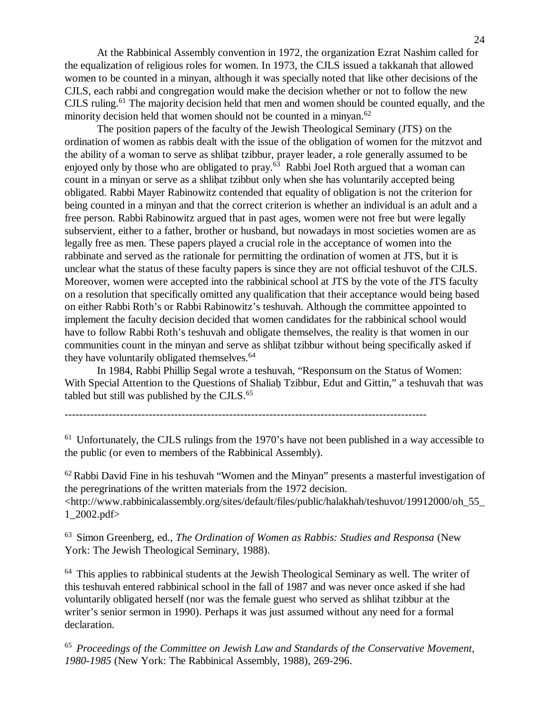At the Rabbinical Assembly convention in 1972, the organization Ezrat Nashim called for the equalization of religious roles for women. In 1973, the CJLS issued a takkanah that allowed women to be counted in a minyan, although it was specially noted that like other decisions of the CJLS, each rabbi and congregation would make the decision whether or not to follow the new CJLS ruling.<sup>61</sup> The majority decision held that men and women should be counted equally, and the minority decision held that women should not be counted in a minyan.<sup>62</sup>

 The position papers of the faculty of the Jewish Theological Seminary (JTS) on the ordination of women as rabbis dealt with the issue of the obligation of women for the mitzvot and the ability of a woman to serve as shlihat tzibbur, prayer leader, a role generally assumed to be enjoyed only by those who are obligated to pray.<sup>63</sup> Rabbi Joel Roth argued that a woman can count in a minyan or serve as a shlihat tzibbut only when she has voluntarily accepted being obligated. Rabbi Mayer Rabinowitz contended that equality of obligation is not the criterion for being counted in a minyan and that the correct criterion is whether an individual is an adult and a free person. Rabbi Rabinowitz argued that in past ages, women were not free but were legally subservient, either to a father, brother or husband, but nowadays in most societies women are as legally free as men. These papers played a crucial role in the acceptance of women into the rabbinate and served as the rationale for permitting the ordination of women at JTS, but it is unclear what the status of these faculty papers is since they are not official teshuvot of the CJLS. Moreover, women were accepted into the rabbinical school at JTS by the vote of the JTS faculty on a resolution that specifically omitted any qualification that their acceptance would being based on either Rabbi Roth's or Rabbi Rabinowitz's teshuvah. Although the committee appointed to implement the faculty decision decided that women candidates for the rabbinical school would have to follow Rabbi Roth's teshuvah and obligate themselves, the reality is that women in our communities count in the minyan and serve as shlihat tzibbur without being specifically asked if they have voluntarily obligated themselves.<sup>64</sup>

 In 1984, Rabbi Phillip Segal wrote a teshuvah, "Responsum on the Status of Women: With Special Attention to the Questions of Shaliah Tzibbur, Edut and Gittin," a teshuvah that was tabled but still was published by the CJLS. $65$ 

## ---------------------------------------------------------------------------------------------------

<sup>61</sup> Unfortunately, the CJLS rulings from the 1970's have not been published in a way accessible to the public (or even to members of the Rabbinical Assembly).

 $62$  Rabbi David Fine in his teshuvah "Women and the Minyan" presents a masterful investigation of the peregrinations of the written materials from the 1972 decision. <http://www.rabbinicalassembly.org/sites/default/files/public/halakhah/teshuvot/19912000/oh\_55\_ 1\_2002.pdf>

<sup>63</sup> Simon Greenberg, ed., *The Ordination of Women as Rabbis: Studies and Responsa* (New York: The Jewish Theological Seminary, 1988).

<sup>64</sup> This applies to rabbinical students at the Jewish Theological Seminary as well. The writer of this teshuvah entered rabbinical school in the fall of 1987 and was never once asked if she had voluntarily obligated herself (nor was the female guest who served as shlihat tzibbur at the writer's senior sermon in 1990). Perhaps it was just assumed without any need for a formal declaration.

<sup>65</sup> *Proceedings of the Committee on Jewish Law and Standards of the Conservative Movement, 1980-1985* (New York: The Rabbinical Assembly, 1988), 269-296.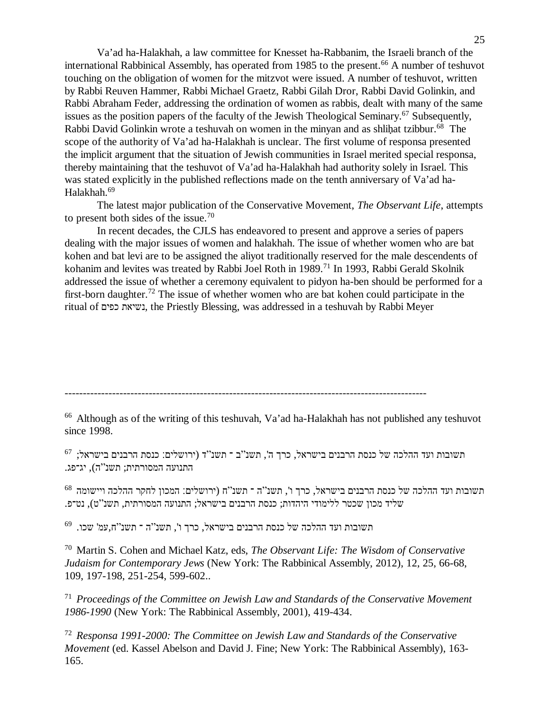Va'ad ha-Halakhah, a law committee for Knesset ha-Rabbanim, the Israeli branch of the international Rabbinical Assembly, has operated from 1985 to the present.<sup>66</sup> A number of teshuvot touching on the obligation of women for the mitzvot were issued. A number of teshuvot, written by Rabbi Reuven Hammer, Rabbi Michael Graetz, Rabbi Gilah Dror, Rabbi David Golinkin, and Rabbi Abraham Feder, addressing the ordination of women as rabbis, dealt with many of the same issues as the position papers of the faculty of the Jewish Theological Seminary.<sup>67</sup> Subsequently, Rabbi David Golinkin wrote a teshuvah on women in the minyan and as shlihat tzibbur.<sup>68</sup> The scope of the authority of Va'ad ha-Halakhah is unclear. The first volume of responsa presented the implicit argument that the situation of Jewish communities in Israel merited special responsa, thereby maintaining that the teshuvot of Va'ad ha-Halakhah had authority solely in Israel. This was stated explicitly in the published reflections made on the tenth anniversary of Va'ad ha-Halakhah.<sup>69</sup>

 The latest major publication of the Conservative Movement, *The Observant Life*, attempts to present both sides of the issue.<sup>70</sup>

 In recent decades, the CJLS has endeavored to present and approve a series of papers dealing with the major issues of women and halakhah. The issue of whether women who are bat kohen and bat levi are to be assigned the aliyot traditionally reserved for the male descendents of kohanim and levites was treated by Rabbi Joel Roth in 1989.<sup>71</sup> In 1993, Rabbi Gerald Skolnik addressed the issue of whether a ceremony equivalent to pidyon ha-ben should be performed for a first-born daughter.<sup>72</sup> The issue of whether women who are bat kohen could participate in the ritual of כפים נשיאת, the Priestly Blessing, was addressed in a teshuvah by Rabbi Meyer

---------------------------------------------------------------------------------------------------

<sup>66</sup> Although as of the writing of this teshuvah, Va'ad ha-Halakhah has not published any teshuvot since 1998.

תשובות ועד ההלכה של כנסת הרבנים בישראל, כרך ה', תשנ"ב ־ תשנ"ד (ירושלים: כנסת הרבנים בישראל; <sup>67</sup> התנועה המסורתית; תשנ"ה), יג־פג.

תשובות ועד ההלכה של כנסת הרבנים בישראל, כרך ו', תשנ"ה ־ תשנ"ח (ירושלים׃ המכון לחקר ההלכה ויישומה <sup>68</sup> שליד מכון שכטר ללימודי היהדות; כנסת הרבנים בישראל; התנועה המסורתית, תשנ"ט), נט־פ.

69 תשובות ועד ההלכה של כנסת הרבנים בישראל, כרך ו', תשנ"ה ־ תשנ"ח,עמ' שכו.

<sup>70</sup> Martin S. Cohen and Michael Katz, eds, *The Observant Life: The Wisdom of Conservative Judaism for Contemporary Jews* (New York: The Rabbinical Assembly, 2012), 12, 25, 66-68, 109, 197-198, 251-254, 599-602..

<sup>71</sup> *Proceedings of the Committee on Jewish Law and Standards of the Conservative Movement 1986-1990* (New York: The Rabbinical Assembly, 2001), 419-434.

<sup>72</sup> *Responsa 1991-2000: The Committee on Jewish Law and Standards of the Conservative Movement* (ed. Kassel Abelson and David J. Fine; New York: The Rabbinical Assembly), 163- 165.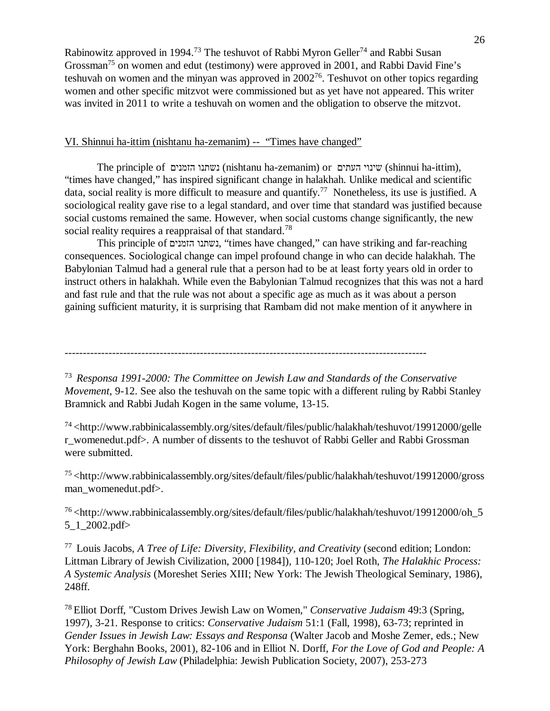Rabinowitz approved in 1994.<sup>73</sup> The teshuvot of Rabbi Myron Geller<sup>74</sup> and Rabbi Susan Grossman<sup>75</sup> on women and edut (testimony) were approved in 2001, and Rabbi David Fine's teshuvah on women and the minyan was approved in  $2002^{76}$ . Teshuvot on other topics regarding women and other specific mitzvot were commissioned but as yet have not appeared. This writer was invited in 2011 to write a teshuvah on women and the obligation to observe the mitzvot.

# VI. Shinnui ha-ittim (nishtanu ha-zemanim) -- "Times have changed"

 The principle of הזמנים נשתנו) nishtanu ha-zemanim) or העתים שינוי) shinnui ha-ittim), "times have changed," has inspired significant change in halakhah. Unlike medical and scientific data, social reality is more difficult to measure and quantify.<sup>77</sup> Nonetheless, its use is justified. A sociological reality gave rise to a legal standard, and over time that standard was justified because social customs remained the same. However, when social customs change significantly, the new social reality requires a reappraisal of that standard.<sup>78</sup>

 This principle of הזמנים נשתנו," times have changed," can have striking and far-reaching consequences. Sociological change can impel profound change in who can decide halakhah. The Babylonian Talmud had a general rule that a person had to be at least forty years old in order to instruct others in halakhah. While even the Babylonian Talmud recognizes that this was not a hard and fast rule and that the rule was not about a specific age as much as it was about a person gaining sufficient maturity, it is surprising that Rambam did not make mention of it anywhere in

---------------------------------------------------------------------------------------------------

<sup>73</sup> *Responsa 1991-2000: The Committee on Jewish Law and Standards of the Conservative Movement*, 9-12. See also the teshuvah on the same topic with a different ruling by Rabbi Stanley Bramnick and Rabbi Judah Kogen in the same volume, 13-15.

<sup>74</sup> <http://www.rabbinicalassembly.org/sites/default/files/public/halakhah/teshuvot/19912000/gelle r\_womenedut.pdf>. A number of dissents to the teshuvot of Rabbi Geller and Rabbi Grossman were submitted.

<sup>75</sup> <http://www.rabbinicalassembly.org/sites/default/files/public/halakhah/teshuvot/19912000/gross man\_womenedut.pdf>.

<sup>76</sup> <http://www.rabbinicalassembly.org/sites/default/files/public/halakhah/teshuvot/19912000/oh\_5 5\_1\_2002.pdf>

<sup>77</sup> Louis Jacobs, *A Tree of Life: Diversity, Flexibility, and Creativity* (second edition; London: Littman Library of Jewish Civilization, 2000 [1984]), 110-120; Joel Roth, *The Halakhic Process: A Systemic Analysis* (Moreshet Series XIII; New York: The Jewish Theological Seminary, 1986), 248ff.

<sup>78</sup> Elliot Dorff, "Custom Drives Jewish Law on Women," *Conservative Judaism* 49:3 (Spring, 1997), 3-21. Response to critics: *Conservative Judaism* 51:1 (Fall, 1998), 63-73; reprinted in *Gender Issues in Jewish Law: Essays and Responsa* (Walter Jacob and Moshe Zemer, eds.; New York: Berghahn Books, 2001), 82-106 and in Elliot N. Dorff, *For the Love of God and People: A Philosophy of Jewish Law* (Philadelphia: Jewish Publication Society, 2007), 253-273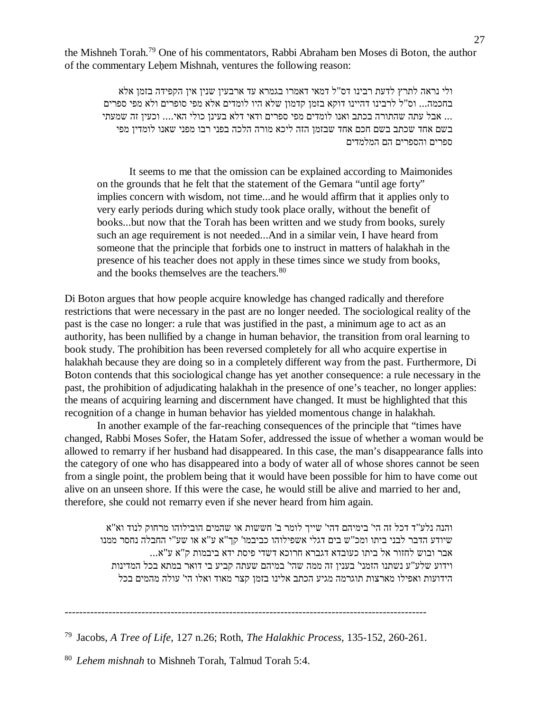the Mishneh Torah.<sup>79</sup> One of his commentators, Rabbi Abraham ben Moses di Boton, the author of the commentary Lehem Mishnah, ventures the following reason:

ולי נראה לתרץ לדעת רבינו דס"ל דמאי דאמרו בגמרא עד ארבעין שנין אין הקפידה בזמן אלא בחכמה... וס"ל לרבינו דהיינו דוקא בזמן קדמון שלא היו לומדים אלא מפי סופרים ולא מפי ספרים ... אבל עתה שהתורה בכתב ואנו לומדים מפי ספרים ודאי דלא בעינן כולי האי.... וכעין זה שמעתי בשם אחד שכתב בשם חכם אחד שבזמן הזה ליכא מורה הלכה בפני רבו מפני שאנו לומדין מפי ספרים והספרים הם המלמדים

 It seems to me that the omission can be explained according to Maimonides on the grounds that he felt that the statement of the Gemara "until age forty" implies concern with wisdom, not time...and he would affirm that it applies only to very early periods during which study took place orally, without the benefit of books...but now that the Torah has been written and we study from books, surely such an age requirement is not needed...And in a similar vein, I have heard from someone that the principle that forbids one to instruct in matters of halakhah in the presence of his teacher does not apply in these times since we study from books, and the books themselves are the teachers.<sup>80</sup>

Di Boton argues that how people acquire knowledge has changed radically and therefore restrictions that were necessary in the past are no longer needed. The sociological reality of the past is the case no longer: a rule that was justified in the past, a minimum age to act as an authority, has been nullified by a change in human behavior, the transition from oral learning to book study. The prohibition has been reversed completely for all who acquire expertise in halakhah because they are doing so in a completely different way from the past. Furthermore, Di Boton contends that this sociological change has yet another consequence: a rule necessary in the past, the prohibition of adjudicating halakhah in the presence of one's teacher, no longer applies: the means of acquiring learning and discernment have changed. It must be highlighted that this recognition of a change in human behavior has yielded momentous change in halakhah.

 In another example of the far-reaching consequences of the principle that "times have changed, Rabbi Moses Sofer, the Hatam Sofer, addressed the issue of whether a woman would be allowed to remarry if her husband had disappeared. In this case, the man's disappearance falls into the category of one who has disappeared into a body of water all of whose shores cannot be seen from a single point, the problem being that it would have been possible for him to have come out alive on an unseen shore. If this were the case, he would still be alive and married to her and, therefore, she could not remarry even if she never heard from him again.

והנה נלע"ד דכל זה הי' בימיהם דהי' שייך לומר ב' חששות או שהמים הובילוהו מרחוק לנוד וא"א שיודע הדבר לבני ביתו ומכ"ש בים דגלי אשפילוהו כביבמו' קך"א ע"א או שע"י החבלה נחסר ממנו אבר ובוש לחזור אל ביתו כעובדא דגברא חרוכא דשדי פיסת ידא ביבמות ק"א ע"א... וידוע שלע"ע נשתנו הזמני' בענין זה ממה שהי' במיהם שעתה קביע בי דואר במתא בכל המדינות הידועות ואפילו מארצות תוגרמה מגיע הכתב אלינו בזמן קצר מאוד ואלו הי' עולה מהמים בכל

<sup>80</sup> *Lehem mishnah* to Mishneh Torah, Talmud Torah 5:4.

<sup>---------------------------------------------------------------------------------------------------</sup>

<sup>79</sup> Jacobs, *A Tree of Life*, 127 n.26; Roth, *The Halakhic Process*, 135-152, 260-261.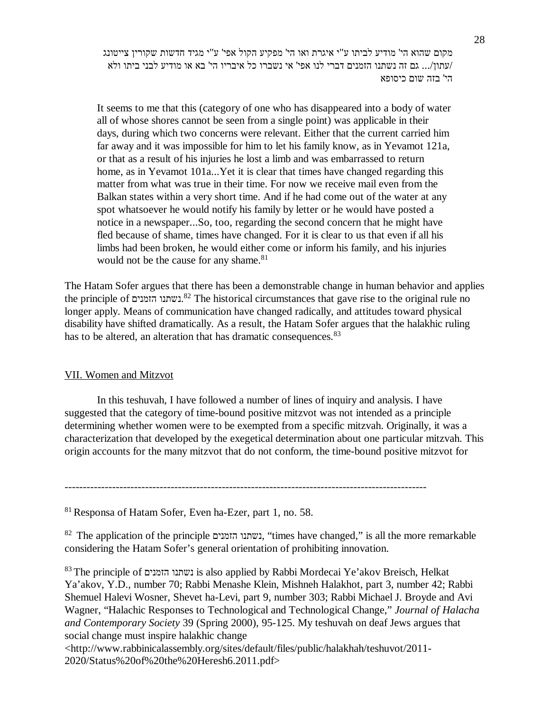מקום שהוא הי' מודיע לביתו ע"י איגרת ואו הי' מפקיע הקול אפי' ע"י מגיד חדשות שקורין צייטונג /עתון.../ גם זה נשתנו הזמנים דברי לנו אפי' אי נשברו כל איבריו הי' בא או מודיע לבני ביתו ולא הי' בזה שום כיסופא

It seems to me that this (category of one who has disappeared into a body of water all of whose shores cannot be seen from a single point) was applicable in their days, during which two concerns were relevant. Either that the current carried him far away and it was impossible for him to let his family know, as in Yevamot 121a, or that as a result of his injuries he lost a limb and was embarrassed to return home, as in Yevamot 101a...Yet it is clear that times have changed regarding this matter from what was true in their time. For now we receive mail even from the Balkan states within a very short time. And if he had come out of the water at any spot whatsoever he would notify his family by letter or he would have posted a notice in a newspaper...So, too, regarding the second concern that he might have fled because of shame, times have changed. For it is clear to us that even if all his limbs had been broken, he would either come or inform his family, and his injuries would not be the cause for any shame.<sup>81</sup>

The Hatam Sofer argues that there has been a demonstrable change in human behavior and applies the principle of הזמנים נשתנו. <sup>82</sup> The historical circumstances that gave rise to the original rule no longer apply. Means of communication have changed radically, and attitudes toward physical disability have shifted dramatically. As a result, the Hatam Sofer argues that the halakhic ruling has to be altered, an alteration that has dramatic consequences.<sup>83</sup>

# VII. Women and Mitzvot

 In this teshuvah, I have followed a number of lines of inquiry and analysis. I have suggested that the category of time-bound positive mitzvot was not intended as a principle determining whether women were to be exempted from a specific mitzvah. Originally, it was a characterization that developed by the exegetical determination about one particular mitzvah. This origin accounts for the many mitzvot that do not conform, the time-bound positive mitzvot for

---------------------------------------------------------------------------------------------------

<sup>81</sup> Responsa of Hatam Sofer, Even ha-Ezer, part 1, no. 58.

<sup>82</sup> The application of the principle נשתנו הזמנים, "times have changed," is all the more remarkable considering the Hatam Sofer's general orientation of prohibiting innovation.

<sup>83</sup> The principle of הזמנים נשתנו is also applied by Rabbi Mordecai Ye'akov Breisch, Helkat Ya'akov, Y.D., number 70; Rabbi Menashe Klein, Mishneh Halakhot, part 3, number 42; Rabbi Shemuel Halevi Wosner, Shevet ha-Levi, part 9, number 303; Rabbi Michael J. Broyde and Avi Wagner, "Halachic Responses to Technological and Technological Change," *Journal of Halacha and Contemporary Society* 39 (Spring 2000), 95-125. My teshuvah on deaf Jews argues that social change must inspire halakhic change <http://www.rabbinicalassembly.org/sites/default/files/public/halakhah/teshuvot/2011-

2020/Status%20of%20the%20Heresh6.2011.pdf>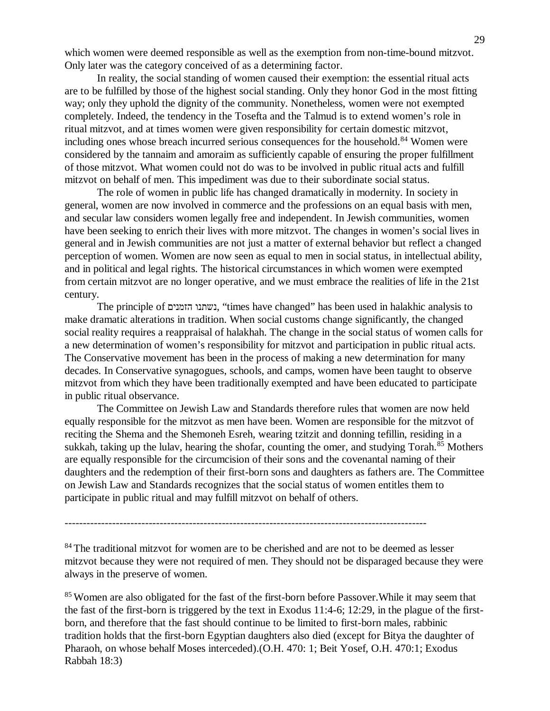which women were deemed responsible as well as the exemption from non-time-bound mitzvot. Only later was the category conceived of as a determining factor.

 In reality, the social standing of women caused their exemption: the essential ritual acts are to be fulfilled by those of the highest social standing. Only they honor God in the most fitting way; only they uphold the dignity of the community. Nonetheless, women were not exempted completely. Indeed, the tendency in the Tosefta and the Talmud is to extend women's role in ritual mitzvot, and at times women were given responsibility for certain domestic mitzvot, including ones whose breach incurred serious consequences for the household.<sup>84</sup> Women were considered by the tannaim and amoraim as sufficiently capable of ensuring the proper fulfillment of those mitzvot. What women could not do was to be involved in public ritual acts and fulfill mitzvot on behalf of men. This impediment was due to their subordinate social status.

 The role of women in public life has changed dramatically in modernity. In society in general, women are now involved in commerce and the professions on an equal basis with men, and secular law considers women legally free and independent. In Jewish communities, women have been seeking to enrich their lives with more mitzvot. The changes in women's social lives in general and in Jewish communities are not just a matter of external behavior but reflect a changed perception of women. Women are now seen as equal to men in social status, in intellectual ability, and in political and legal rights. The historical circumstances in which women were exempted from certain mitzvot are no longer operative, and we must embrace the realities of life in the 21st century.

 The principle of הזמנים נשתנו," times have changed" has been used in halakhic analysis to make dramatic alterations in tradition. When social customs change significantly, the changed social reality requires a reappraisal of halakhah. The change in the social status of women calls for a new determination of women's responsibility for mitzvot and participation in public ritual acts. The Conservative movement has been in the process of making a new determination for many decades. In Conservative synagogues, schools, and camps, women have been taught to observe mitzvot from which they have been traditionally exempted and have been educated to participate in public ritual observance.

 The Committee on Jewish Law and Standards therefore rules that women are now held equally responsible for the mitzvot as men have been. Women are responsible for the mitzvot of reciting the Shema and the Shemoneh Esreh, wearing tzitzit and donning tefillin, residing in a sukkah, taking up the lulav, hearing the shofar, counting the omer, and studying Torah.<sup>85</sup> Mothers are equally responsible for the circumcision of their sons and the covenantal naming of their daughters and the redemption of their first-born sons and daughters as fathers are. The Committee on Jewish Law and Standards recognizes that the social status of women entitles them to participate in public ritual and may fulfill mitzvot on behalf of others.

---------------------------------------------------------------------------------------------------

<sup>84</sup> The traditional mitzvot for women are to be cherished and are not to be deemed as lesser mitzvot because they were not required of men. They should not be disparaged because they were always in the preserve of women.

<sup>85</sup> Women are also obligated for the fast of the first-born before Passover. While it may seem that the fast of the first-born is triggered by the text in Exodus 11:4-6; 12:29, in the plague of the firstborn, and therefore that the fast should continue to be limited to first-born males, rabbinic tradition holds that the first-born Egyptian daughters also died (except for Bitya the daughter of Pharaoh, on whose behalf Moses interceded).(O.H. 470: 1; Beit Yosef, O.H. 470:1; Exodus Rabbah 18:3)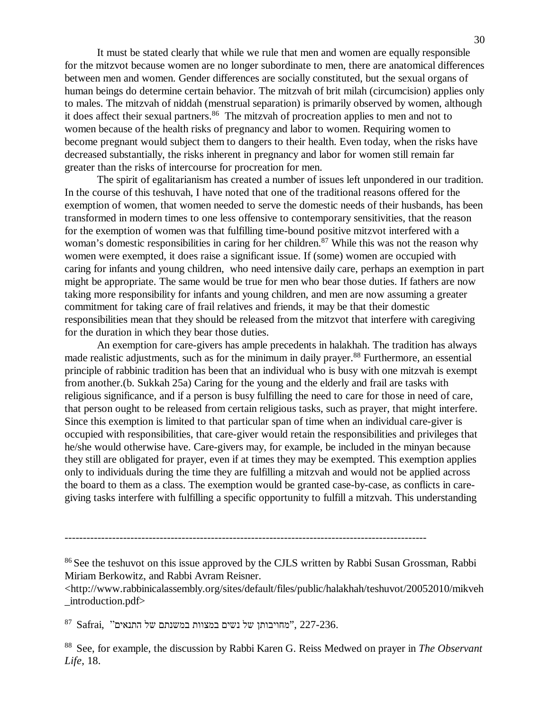It must be stated clearly that while we rule that men and women are equally responsible for the mitzvot because women are no longer subordinate to men, there are anatomical differences between men and women. Gender differences are socially constituted, but the sexual organs of human beings do determine certain behavior. The mitzvah of brit milah (circumcision) applies only to males. The mitzvah of niddah (menstrual separation) is primarily observed by women, although it does affect their sexual partners.<sup>86</sup> The mitzvah of procreation applies to men and not to women because of the health risks of pregnancy and labor to women. Requiring women to become pregnant would subject them to dangers to their health. Even today, when the risks have decreased substantially, the risks inherent in pregnancy and labor for women still remain far greater than the risks of intercourse for procreation for men.

 The spirit of egalitarianism has created a number of issues left unpondered in our tradition. In the course of this teshuvah, I have noted that one of the traditional reasons offered for the exemption of women, that women needed to serve the domestic needs of their husbands, has been transformed in modern times to one less offensive to contemporary sensitivities, that the reason for the exemption of women was that fulfilling time-bound positive mitzvot interfered with a woman's domestic responsibilities in caring for her children.<sup>87</sup> While this was not the reason why women were exempted, it does raise a significant issue. If (some) women are occupied with caring for infants and young children, who need intensive daily care, perhaps an exemption in part might be appropriate. The same would be true for men who bear those duties. If fathers are now taking more responsibility for infants and young children, and men are now assuming a greater commitment for taking care of frail relatives and friends, it may be that their domestic responsibilities mean that they should be released from the mitzvot that interfere with caregiving for the duration in which they bear those duties.

 An exemption for care-givers has ample precedents in halakhah. The tradition has always made realistic adjustments, such as for the minimum in daily prayer.<sup>88</sup> Furthermore, an essential principle of rabbinic tradition has been that an individual who is busy with one mitzvah is exempt from another.(b. Sukkah 25a) Caring for the young and the elderly and frail are tasks with religious significance, and if a person is busy fulfilling the need to care for those in need of care, that person ought to be released from certain religious tasks, such as prayer, that might interfere. Since this exemption is limited to that particular span of time when an individual care-giver is occupied with responsibilities, that care-giver would retain the responsibilities and privileges that he/she would otherwise have. Care-givers may, for example, be included in the minyan because they still are obligated for prayer, even if at times they may be exempted. This exemption applies only to individuals during the time they are fulfilling a mitzvah and would not be applied across the board to them as a class. The exemption would be granted case-by-case, as conflicts in caregiving tasks interfere with fulfilling a specific opportunity to fulfill a mitzvah. This understanding

<http://www.rabbinicalassembly.org/sites/default/files/public/halakhah/teshuvot/20052010/mikveh \_introduction.pdf>

 $^{87}$  Safrai, "מחויבותן של נשים במצוות במשנתם של התנאים", 227-236.

<sup>88</sup> See, for example, the discussion by Rabbi Karen G. Reiss Medwed on prayer in *The Observant Life*, 18.

<sup>---------------------------------------------------------------------------------------------------</sup>

<sup>&</sup>lt;sup>86</sup> See the teshuvot on this issue approved by the CJLS written by Rabbi Susan Grossman, Rabbi Miriam Berkowitz, and Rabbi Avram Reisner.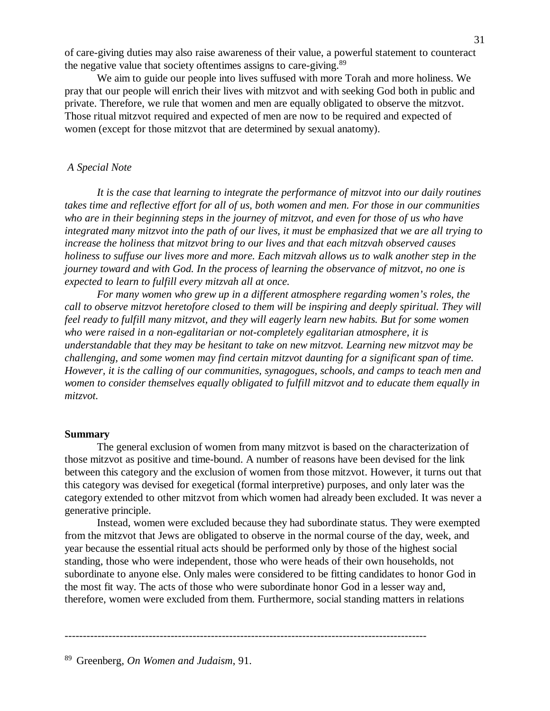of care-giving duties may also raise awareness of their value, a powerful statement to counteract the negative value that society oftentimes assigns to care-giving. $89$ 

 We aim to guide our people into lives suffused with more Torah and more holiness. We pray that our people will enrich their lives with mitzvot and with seeking God both in public and private. Therefore, we rule that women and men are equally obligated to observe the mitzvot. Those ritual mitzvot required and expected of men are now to be required and expected of women (except for those mitzvot that are determined by sexual anatomy).

## *A Special Note*

 *It is the case that learning to integrate the performance of mitzvot into our daily routines takes time and reflective effort for all of us, both women and men. For those in our communities who are in their beginning steps in the journey of mitzvot, and even for those of us who have integrated many mitzvot into the path of our lives, it must be emphasized that we are all trying to increase the holiness that mitzvot bring to our lives and that each mitzvah observed causes holiness to suffuse our lives more and more. Each mitzvah allows us to walk another step in the journey toward and with God. In the process of learning the observance of mitzvot, no one is expected to learn to fulfill every mitzvah all at once.*

 *For many women who grew up in a different atmosphere regarding women's roles, the call to observe mitzvot heretofore closed to them will be inspiring and deeply spiritual. They will feel ready to fulfill many mitzvot, and they will eagerly learn new habits. But for some women who were raised in a non-egalitarian or not-completely egalitarian atmosphere, it is understandable that they may be hesitant to take on new mitzvot. Learning new mitzvot may be challenging, and some women may find certain mitzvot daunting for a significant span of time. However, it is the calling of our communities, synagogues, schools, and camps to teach men and women to consider themselves equally obligated to fulfill mitzvot and to educate them equally in mitzvot.* 

#### **Summary**

 The general exclusion of women from many mitzvot is based on the characterization of those mitzvot as positive and time-bound. A number of reasons have been devised for the link between this category and the exclusion of women from those mitzvot. However, it turns out that this category was devised for exegetical (formal interpretive) purposes, and only later was the category extended to other mitzvot from which women had already been excluded. It was never a generative principle.

 Instead, women were excluded because they had subordinate status. They were exempted from the mitzvot that Jews are obligated to observe in the normal course of the day, week, and year because the essential ritual acts should be performed only by those of the highest social standing, those who were independent, those who were heads of their own households, not subordinate to anyone else. Only males were considered to be fitting candidates to honor God in the most fit way. The acts of those who were subordinate honor God in a lesser way and, therefore, women were excluded from them. Furthermore, social standing matters in relations

---------------------------------------------------------------------------------------------------

<sup>89</sup> Greenberg, *On Women and Judaism*, 91.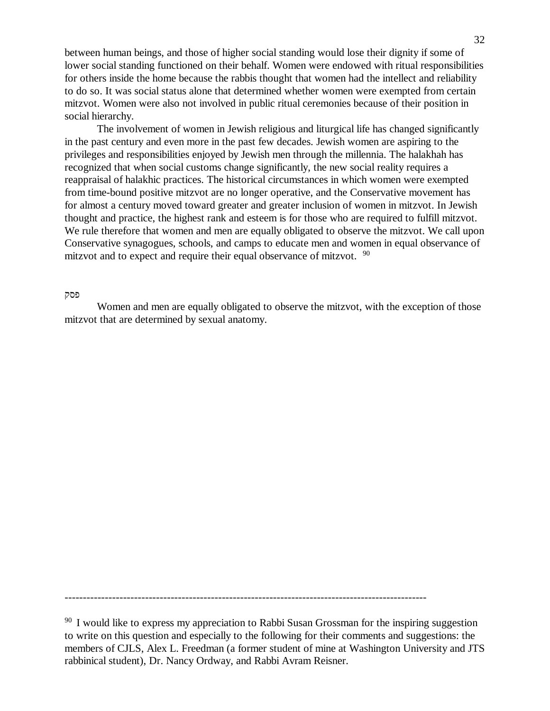between human beings, and those of higher social standing would lose their dignity if some of lower social standing functioned on their behalf. Women were endowed with ritual responsibilities for others inside the home because the rabbis thought that women had the intellect and reliability to do so. It was social status alone that determined whether women were exempted from certain mitzvot. Women were also not involved in public ritual ceremonies because of their position in social hierarchy.

 The involvement of women in Jewish religious and liturgical life has changed significantly in the past century and even more in the past few decades. Jewish women are aspiring to the privileges and responsibilities enjoyed by Jewish men through the millennia. The halakhah has recognized that when social customs change significantly, the new social reality requires a reappraisal of halakhic practices. The historical circumstances in which women were exempted from time-bound positive mitzvot are no longer operative, and the Conservative movement has for almost a century moved toward greater and greater inclusion of women in mitzvot. In Jewish thought and practice, the highest rank and esteem is for those who are required to fulfill mitzvot. We rule therefore that women and men are equally obligated to observe the mitzvot. We call upon Conservative synagogues, schools, and camps to educate men and women in equal observance of mitzvot and to expect and require their equal observance of mitzvot. <sup>90</sup>

#### פסק

 Women and men are equally obligated to observe the mitzvot, with the exception of those mitzvot that are determined by sexual anatomy.

---------------------------------------------------------------------------------------------------

<sup>90</sup> I would like to express my appreciation to Rabbi Susan Grossman for the inspiring suggestion to write on this question and especially to the following for their comments and suggestions: the members of CJLS, Alex L. Freedman (a former student of mine at Washington University and JTS rabbinical student), Dr. Nancy Ordway, and Rabbi Avram Reisner.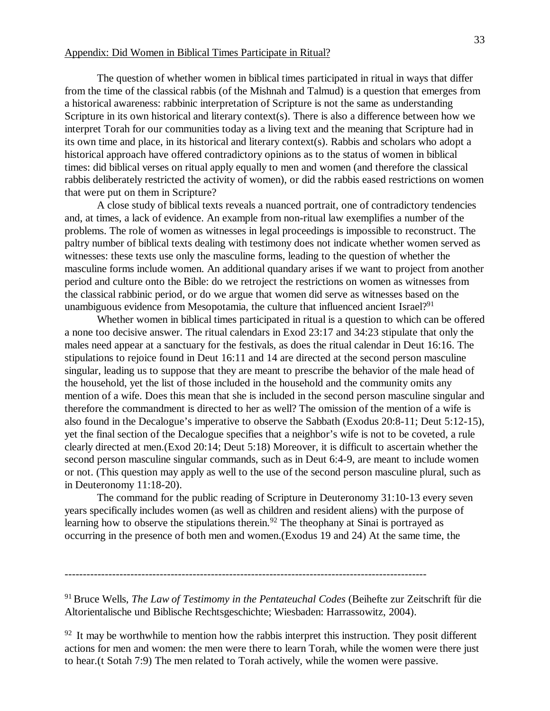#### Appendix: Did Women in Biblical Times Participate in Ritual?

 The question of whether women in biblical times participated in ritual in ways that differ from the time of the classical rabbis (of the Mishnah and Talmud) is a question that emerges from a historical awareness: rabbinic interpretation of Scripture is not the same as understanding Scripture in its own historical and literary context(s). There is also a difference between how we interpret Torah for our communities today as a living text and the meaning that Scripture had in its own time and place, in its historical and literary context(s). Rabbis and scholars who adopt a historical approach have offered contradictory opinions as to the status of women in biblical times: did biblical verses on ritual apply equally to men and women (and therefore the classical rabbis deliberately restricted the activity of women), or did the rabbis eased restrictions on women that were put on them in Scripture?

 A close study of biblical texts reveals a nuanced portrait, one of contradictory tendencies and, at times, a lack of evidence. An example from non-ritual law exemplifies a number of the problems. The role of women as witnesses in legal proceedings is impossible to reconstruct. The paltry number of biblical texts dealing with testimony does not indicate whether women served as witnesses: these texts use only the masculine forms, leading to the question of whether the masculine forms include women. An additional quandary arises if we want to project from another period and culture onto the Bible: do we retroject the restrictions on women as witnesses from the classical rabbinic period, or do we argue that women did serve as witnesses based on the unambiguous evidence from Mesopotamia, the culture that influenced ancient Israel?<sup>91</sup>

 Whether women in biblical times participated in ritual is a question to which can be offered a none too decisive answer. The ritual calendars in Exod 23:17 and 34:23 stipulate that only the males need appear at a sanctuary for the festivals, as does the ritual calendar in Deut 16:16. The stipulations to rejoice found in Deut 16:11 and 14 are directed at the second person masculine singular, leading us to suppose that they are meant to prescribe the behavior of the male head of the household, yet the list of those included in the household and the community omits any mention of a wife. Does this mean that she is included in the second person masculine singular and therefore the commandment is directed to her as well? The omission of the mention of a wife is also found in the Decalogue's imperative to observe the Sabbath (Exodus 20:8-11; Deut 5:12-15), yet the final section of the Decalogue specifies that a neighbor's wife is not to be coveted, a rule clearly directed at men.(Exod 20:14; Deut 5:18) Moreover, it is difficult to ascertain whether the second person masculine singular commands, such as in Deut 6:4-9, are meant to include women or not. (This question may apply as well to the use of the second person masculine plural, such as in Deuteronomy 11:18-20).

 The command for the public reading of Scripture in Deuteronomy 31:10-13 every seven years specifically includes women (as well as children and resident aliens) with the purpose of learning how to observe the stipulations therein.<sup>92</sup> The theophany at Sinai is portrayed as occurring in the presence of both men and women.(Exodus 19 and 24) At the same time, the

<sup>91</sup> Bruce Wells, *The Law of Testimomy in the Pentateuchal Codes* (Beihefte zur Zeitschrift für die Altorientalische und Biblische Rechtsgeschichte; Wiesbaden: Harrassowitz, 2004).

 $92$  It may be worthwhile to mention how the rabbis interpret this instruction. They posit different actions for men and women: the men were there to learn Torah, while the women were there just to hear.(t Sotah 7:9) The men related to Torah actively, while the women were passive.

<sup>---------------------------------------------------------------------------------------------------</sup>